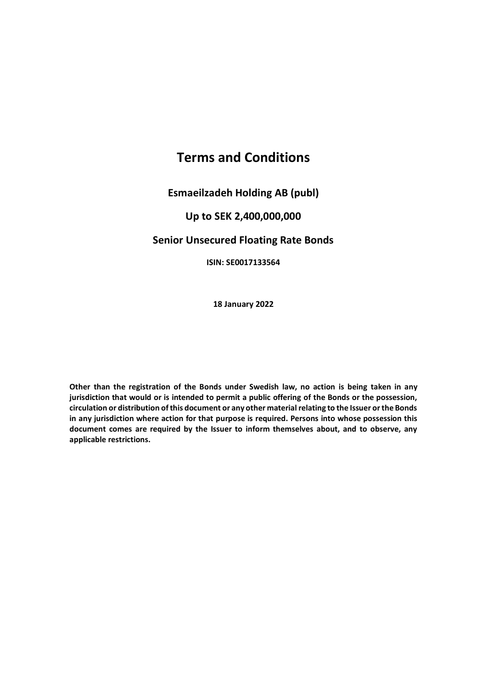# **Terms and Conditions**

**Esmaeilzadeh Holding AB (publ)**

# **Up to SEK 2,400,000,000**

# **Senior Unsecured Floating Rate Bonds**

**ISIN: SE0017133564**

**18 January 2022**

**Other than the registration of the Bonds under Swedish law, no action is being taken in any jurisdiction that would or is intended to permit a public offering of the Bonds or the possession, circulation or distribution of this document or any other material relating to the Issuer or the Bonds in any jurisdiction where action for that purpose is required. Persons into whose possession this document comes are required by the Issuer to inform themselves about, and to observe, any applicable restrictions.**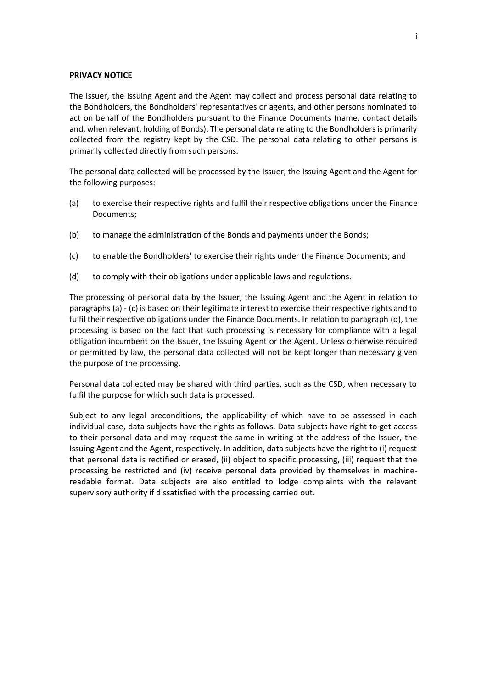#### **PRIVACY NOTICE**

The Issuer, the Issuing Agent and the Agent may collect and process personal data relating to the Bondholders, the Bondholders' representatives or agents, and other persons nominated to act on behalf of the Bondholders pursuant to the Finance Documents (name, contact details and, when relevant, holding of Bonds). The personal data relating to the Bondholders is primarily collected from the registry kept by the CSD. The personal data relating to other persons is primarily collected directly from such persons.

The personal data collected will be processed by the Issuer, the Issuing Agent and the Agent for the following purposes:

- <span id="page-1-0"></span>(a) to exercise their respective rights and fulfil their respective obligations under the Finance Documents;
- (b) to manage the administration of the Bonds and payments under the Bonds;
- <span id="page-1-1"></span>(c) to enable the Bondholders' to exercise their rights under the Finance Documents; and
- <span id="page-1-2"></span>(d) to comply with their obligations under applicable laws and regulations.

The processing of personal data by the Issuer, the Issuing Agent and the Agent in relation to paragraph[s \(a\)](#page-1-0) - [\(c\)](#page-1-1) is based on their legitimate interest to exercise their respective rights and to fulfil their respective obligations under the Finance Documents. In relation to paragraph [\(d\),](#page-1-2) the processing is based on the fact that such processing is necessary for compliance with a legal obligation incumbent on the Issuer, the Issuing Agent or the Agent. Unless otherwise required or permitted by law, the personal data collected will not be kept longer than necessary given the purpose of the processing.

Personal data collected may be shared with third parties, such as the CSD, when necessary to fulfil the purpose for which such data is processed.

Subject to any legal preconditions, the applicability of which have to be assessed in each individual case, data subjects have the rights as follows. Data subjects have right to get access to their personal data and may request the same in writing at the address of the Issuer, the Issuing Agent and the Agent, respectively. In addition, data subjects have the right to (i) request that personal data is rectified or erased, (ii) object to specific processing, (iii) request that the processing be restricted and (iv) receive personal data provided by themselves in machinereadable format. Data subjects are also entitled to lodge complaints with the relevant supervisory authority if dissatisfied with the processing carried out.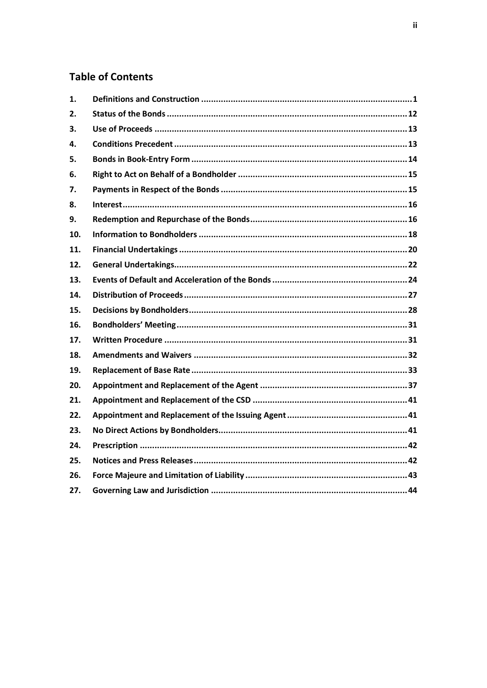# **Table of Contents**

| 1.  |  |
|-----|--|
| 2.  |  |
| 3.  |  |
| 4.  |  |
| 5.  |  |
| 6.  |  |
| 7.  |  |
| 8.  |  |
| 9.  |  |
| 10. |  |
| 11. |  |
| 12. |  |
| 13. |  |
| 14. |  |
| 15. |  |
| 16. |  |
| 17. |  |
| 18. |  |
| 19. |  |
| 20. |  |
| 21. |  |
| 22. |  |
| 23. |  |
| 24. |  |
| 25. |  |
| 26. |  |
| 27. |  |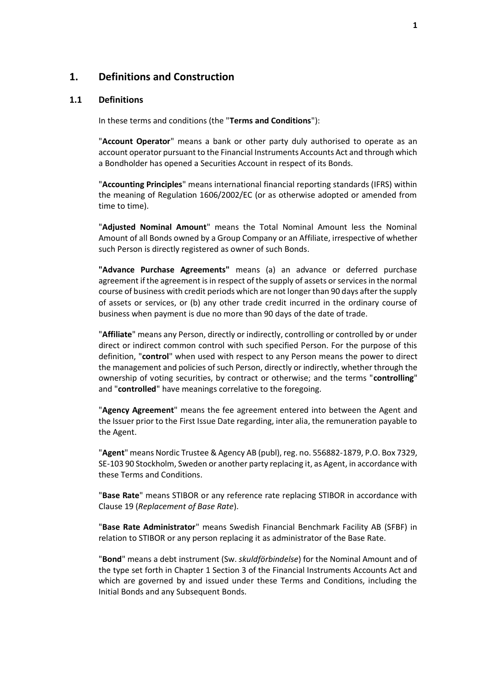### <span id="page-3-0"></span>**1. Definitions and Construction**

#### **1.1 Definitions**

In these terms and conditions (the "**Terms and Conditions**"):

"**Account Operator**" means a bank or other party duly authorised to operate as an account operator pursuant to the Financial Instruments Accounts Act and through which a Bondholder has opened a Securities Account in respect of its Bonds.

"**Accounting Principles**" means international financial reporting standards (IFRS) within the meaning of Regulation 1606/2002/EC (or as otherwise adopted or amended from time to time).

"**Adjusted Nominal Amount**" means the Total Nominal Amount less the Nominal Amount of all Bonds owned by a Group Company or an Affiliate, irrespective of whether such Person is directly registered as owner of such Bonds.

**"Advance Purchase Agreements"** means (a) an advance or deferred purchase agreement if the agreement is in respect of the supply of assets or services in the normal course of business with credit periods which are not longer than 90 days after the supply of assets or services, or (b) any other trade credit incurred in the ordinary course of business when payment is due no more than 90 days of the date of trade.

"**Affiliate**" means any Person, directly or indirectly, controlling or controlled by or under direct or indirect common control with such specified Person. For the purpose of this definition, "**control**" when used with respect to any Person means the power to direct the management and policies of such Person, directly or indirectly, whether through the ownership of voting securities, by contract or otherwise; and the terms "**controlling**" and "**controlled**" have meanings correlative to the foregoing.

"**Agency Agreement**" means the fee agreement entered into between the Agent and the Issuer prior to the First Issue Date regarding, inter alia, the remuneration payable to the Agent.

"**Agent**" means Nordic Trustee & Agency AB (publ), reg. no. 556882-1879, P.O. Box 7329, SE-103 90 Stockholm, Sweden or another party replacing it, as Agent, in accordance with these Terms and Conditions.

"**Base Rate**" means STIBOR or any reference rate replacing STIBOR in accordance with Clause [19](#page-35-0) (*[Replacement of Base Rate](#page-35-0)*).

"**Base Rate Administrator**" means Swedish Financial Benchmark Facility AB (SFBF) in relation to STIBOR or any person replacing it as administrator of the Base Rate.

"**Bond**" means a debt instrument (Sw. *skuldförbindelse*) for the Nominal Amount and of the type set forth in Chapter 1 Section 3 of the Financial Instruments Accounts Act and which are governed by and issued under these Terms and Conditions, including the Initial Bonds and any Subsequent Bonds.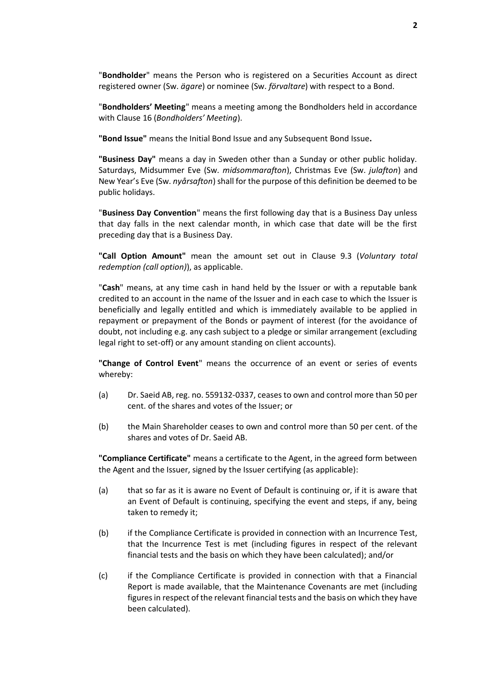"**Bondholder**" means the Person who is registered on a Securities Account as direct registered owner (Sw. *ägare*) or nominee (Sw. *förvaltare*) with respect to a Bond.

"**Bondholders' Meeting**" means a meeting among the Bondholders held in accordance with Clause [16](#page-33-0) (*[Bondholders' Meeting](#page-33-0)*).

**"Bond Issue"** means the Initial Bond Issue and any Subsequent Bond Issue**.**

**"Business Day"** means a day in Sweden other than a Sunday or other public holiday. Saturdays, Midsummer Eve (Sw. *midsommarafton*), Christmas Eve (Sw. *julafton*) and New Year's Eve (Sw. *nyårsafton*) shall for the purpose of this definition be deemed to be public holidays.

"**Business Day Convention**" means the first following day that is a Business Day unless that day falls in the next calendar month, in which case that date will be the first preceding day that is a Business Day.

**"Call Option Amount"** mean the amount set out in Clause [9.3](#page-18-2) (*[Voluntary total](#page-18-2)  [redemption \(call option\)](#page-18-2)*), as applicable.

"**Cash**" means, at any time cash in hand held by the Issuer or with a reputable bank credited to an account in the name of the Issuer and in each case to which the Issuer is beneficially and legally entitled and which is immediately available to be applied in repayment or prepayment of the Bonds or payment of interest (for the avoidance of doubt, not including e.g. any cash subject to a pledge or similar arrangement (excluding legal right to set-off) or any amount standing on client accounts).

**"Change of Control Event**" means the occurrence of an event or series of events whereby:

- (a) Dr. Saeid AB, reg. no. 559132-0337, ceases to own and control more than 50 per cent. of the shares and votes of the Issuer; or
- (b) the Main Shareholder ceases to own and control more than 50 per cent. of the shares and votes of Dr. Saeid AB.

**"Compliance Certificate"** means a certificate to the Agent, in the agreed form between the Agent and the Issuer, signed by the Issuer certifying (as applicable):

- (a) that so far as it is aware no Event of Default is continuing or, if it is aware that an Event of Default is continuing, specifying the event and steps, if any, being taken to remedy it;
- (b) if the Compliance Certificate is provided in connection with an Incurrence Test, that the Incurrence Test is met (including figures in respect of the relevant financial tests and the basis on which they have been calculated); and/or
- (c) if the Compliance Certificate is provided in connection with that a Financial Report is made available, that the Maintenance Covenants are met (including figures in respect of the relevant financial tests and the basis on which they have been calculated).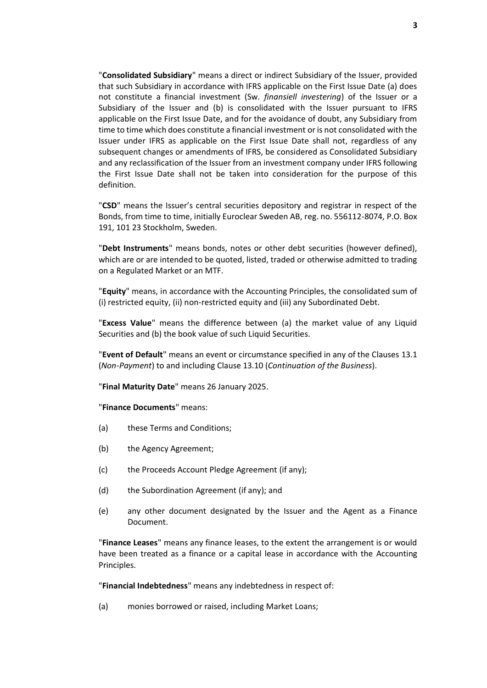"**Consolidated Subsidiary**" means a direct or indirect Subsidiary of the Issuer, provided that such Subsidiary in accordance with IFRS applicable on the First Issue Date (a) does not constitute a financial investment (Sw. *finansiell investering*) of the Issuer or a Subsidiary of the Issuer and (b) is consolidated with the Issuer pursuant to IFRS applicable on the First Issue Date, and for the avoidance of doubt, any Subsidiary from time to time which does constitute a financial investment or is not consolidated with the Issuer under IFRS as applicable on the First Issue Date shall not, regardless of any subsequent changes or amendments of IFRS, be considered as Consolidated Subsidiary and any reclassification of the Issuer from an investment company under IFRS following the First Issue Date shall not be taken into consideration for the purpose of this definition.

"**CSD**" means the Issuer's central securities depository and registrar in respect of the Bonds, from time to time, initially Euroclear Sweden AB, reg. no. 556112-8074, P.O. Box 191, 101 23 Stockholm, Sweden.

"**Debt Instruments**" means bonds, notes or other debt securities (however defined), which are or are intended to be quoted, listed, traded or otherwise admitted to trading on a Regulated Market or an MTF.

"**Equity**" means, in accordance with the Accounting Principles, the consolidated sum of (i) restricted equity, (ii) non-restricted equity and (iii) any Subordinated Debt.

"**Excess Value**" means the difference between (a) the market value of any Liquid Securities and (b) the book value of such Liquid Securities.

"**Event of Default**" means an event or circumstance specified in any of the Clauses [13.1](#page-26-1) (*[Non-Payment](#page-26-1)*) to and including Clause [13.10](#page-28-0) (*[Continuation of the Business](#page-28-0)*).

"**Final Maturity Date**" means 26 January 2025.

"**Finance Documents**" means:

- (a) these Terms and Conditions;
- (b) the Agency Agreement;
- (c) the Proceeds Account Pledge Agreement (if any);
- (d) the Subordination Agreement (if any); and
- (e) any other document designated by the Issuer and the Agent as a Finance Document.

"**Finance Leases**" means any finance leases, to the extent the arrangement is or would have been treated as a finance or a capital lease in accordance with the Accounting Principles.

"**Financial Indebtedness**" means any indebtedness in respect of:

<span id="page-5-0"></span>(a) monies borrowed or raised, including Market Loans;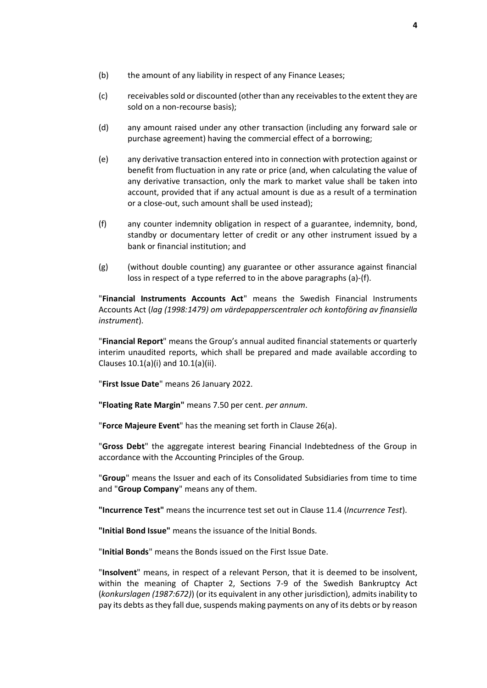- (b) the amount of any liability in respect of any Finance Leases;
- (c) receivables sold or discounted (other than any receivables to the extent they are sold on a non-recourse basis);
- (d) any amount raised under any other transaction (including any forward sale or purchase agreement) having the commercial effect of a borrowing;
- (e) any derivative transaction entered into in connection with protection against or benefit from fluctuation in any rate or price (and, when calculating the value of any derivative transaction, only the mark to market value shall be taken into account, provided that if any actual amount is due as a result of a termination or a close-out, such amount shall be used instead);
- <span id="page-6-0"></span>(f) any counter indemnity obligation in respect of a guarantee, indemnity, bond, standby or documentary letter of credit or any other instrument issued by a bank or financial institution; and
- (g) (without double counting) any guarantee or other assurance against financial loss in respect of a type referred to in the above paragraphs [\(a\)](#page-5-0)[-\(f\).](#page-6-0)

"**Financial Instruments Accounts Act**" means the Swedish Financial Instruments Accounts Act (*lag (1998:1479) om värdepapperscentraler och kontoföring av finansiella instrument*).

"**Financial Report**" means the Group's annual audited financial statements or quarterly interim unaudited reports, which shall be prepared and made available according to Clause[s 10.1\(a\)\(i\)](#page-20-1) and [10.1\(a\)\(ii\).](#page-20-2)

"**First Issue Date**" means 26 January 2022.

**"Floating Rate Margin"** means 7.50 per cent. *per annum*.

"**Force Majeure Event**" has the meaning set forth in Clause [26\(a\).](#page-45-1)

"**Gross Debt**" the aggregate interest bearing Financial Indebtedness of the Group in accordance with the Accounting Principles of the Group.

"**Group**" means the Issuer and each of its Consolidated Subsidiaries from time to time and "**Group Company**" means any of them.

**"Incurrence Test"** means the incurrence test set out in Clause [11.4](#page-23-0) (*[Incurrence Test](#page-23-0)*).

**"Initial Bond Issue"** means the issuance of the Initial Bonds.

"**Initial Bonds**" means the Bonds issued on the First Issue Date.

"**Insolvent**" means, in respect of a relevant Person, that it is deemed to be insolvent, within the meaning of Chapter 2, Sections 7-9 of the Swedish Bankruptcy Act (*konkurslagen (1987:672)*) (or its equivalent in any other jurisdiction), admits inability to pay its debts as they fall due, suspends making payments on any of its debts or by reason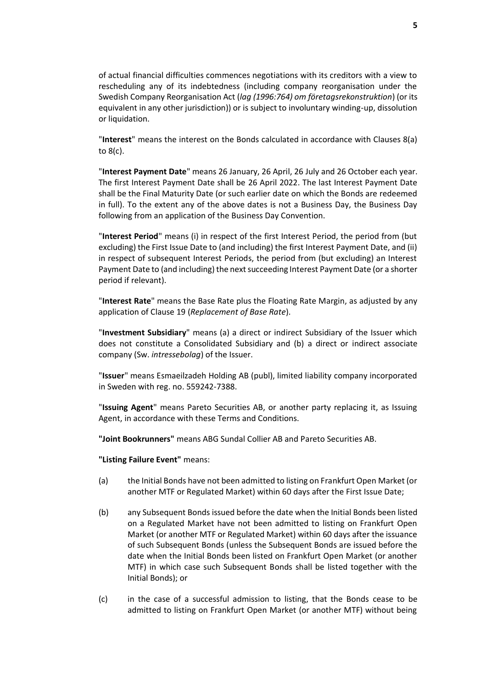of actual financial difficulties commences negotiations with its creditors with a view to rescheduling any of its indebtedness (including company reorganisation under the Swedish Company Reorganisation Act (*lag (1996:764) om företagsrekonstruktion*) (or its equivalent in any other jurisdiction)) or is subject to involuntary winding-up, dissolution or liquidation.

"**Interest**" means the interest on the Bonds calculated in accordance with Clauses [8\(a\)](#page-18-3) t[o 8\(c\).](#page-18-4)

"**Interest Payment Date**" means 26 January, 26 April, 26 July and 26 October each year. The first Interest Payment Date shall be 26 April 2022. The last Interest Payment Date shall be the Final Maturity Date (or such earlier date on which the Bonds are redeemed in full). To the extent any of the above dates is not a Business Day, the Business Day following from an application of the Business Day Convention.

"**Interest Period**" means (i) in respect of the first Interest Period, the period from (but excluding) the First Issue Date to (and including) the first Interest Payment Date, and (ii) in respect of subsequent Interest Periods, the period from (but excluding) an Interest Payment Date to (and including) the next succeeding Interest Payment Date (or a shorter period if relevant).

"**Interest Rate**" means the Base Rate plus the Floating Rate Margin, as adjusted by any application of Clause [19](#page-35-0) (*[Replacement of Base Rate](#page-35-0)*).

"**Investment Subsidiary**" means (a) a direct or indirect Subsidiary of the Issuer which does not constitute a Consolidated Subsidiary and (b) a direct or indirect associate company (Sw. *intressebolag*) of the Issuer.

"**Issuer**" means Esmaeilzadeh Holding AB (publ), limited liability company incorporated in Sweden with reg. no. 559242-7388.

"**Issuing Agent**" means Pareto Securities AB, or another party replacing it, as Issuing Agent, in accordance with these Terms and Conditions.

**"Joint Bookrunners"** means ABG Sundal Collier AB and Pareto Securities AB.

**"Listing Failure Event"** means:

- (a) the Initial Bonds have not been admitted to listing on Frankfurt Open Market (or another MTF or Regulated Market) within 60 days after the First Issue Date;
- (b) any Subsequent Bonds issued before the date when the Initial Bonds been listed on a Regulated Market have not been admitted to listing on Frankfurt Open Market (or another MTF or Regulated Market) within 60 days after the issuance of such Subsequent Bonds (unless the Subsequent Bonds are issued before the date when the Initial Bonds been listed on Frankfurt Open Market (or another MTF) in which case such Subsequent Bonds shall be listed together with the Initial Bonds); or
- (c) in the case of a successful admission to listing, that the Bonds cease to be admitted to listing on Frankfurt Open Market (or another MTF) without being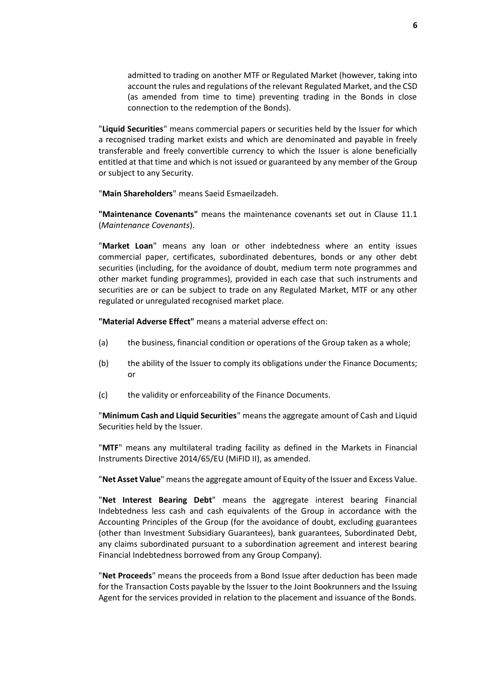admitted to trading on another MTF or Regulated Market (however, taking into account the rules and regulations of the relevant Regulated Market, and the CSD (as amended from time to time) preventing trading in the Bonds in close connection to the redemption of the Bonds).

"**Liquid Securities**" means commercial papers or securities held by the Issuer for which a recognised trading market exists and which are denominated and payable in freely transferable and freely convertible currency to which the Issuer is alone beneficially entitled at that time and which is not issued or guaranteed by any member of the Group or subject to any Security.

"**Main Shareholders**" means Saeid Esmaeilzadeh.

**"Maintenance Covenants"** means the maintenance covenants set out in Clause [11.1](#page-22-1) (*[Maintenance Covenants](#page-22-1)*).

"**Market Loan**" means any loan or other indebtedness where an entity issues commercial paper, certificates, subordinated debentures, bonds or any other debt securities (including, for the avoidance of doubt, medium term note programmes and other market funding programmes), provided in each case that such instruments and securities are or can be subject to trade on any Regulated Market, MTF or any other regulated or unregulated recognised market place.

**"Material Adverse Effect"** means a material adverse effect on:

- (a) the business, financial condition or operations of the Group taken as a whole;
- (b) the ability of the Issuer to comply its obligations under the Finance Documents; or
- (c) the validity or enforceability of the Finance Documents.

"**Minimum Cash and Liquid Securities**" means the aggregate amount of Cash and Liquid Securities held by the Issuer.

"**MTF**" means any multilateral trading facility as defined in the Markets in Financial Instruments Directive 2014/65/EU (MiFID II), as amended.

"**Net Asset Value**" means the aggregate amount of Equity of the Issuer and Excess Value.

"**Net Interest Bearing Debt**" means the aggregate interest bearing Financial Indebtedness less cash and cash equivalents of the Group in accordance with the Accounting Principles of the Group (for the avoidance of doubt, excluding guarantees (other than Investment Subsidiary Guarantees), bank guarantees, Subordinated Debt, any claims subordinated pursuant to a subordination agreement and interest bearing Financial Indebtedness borrowed from any Group Company).

"**Net Proceeds**" means the proceeds from a Bond Issue after deduction has been made for the Transaction Costs payable by the Issuer to the Joint Bookrunners and the Issuing Agent for the services provided in relation to the placement and issuance of the Bonds.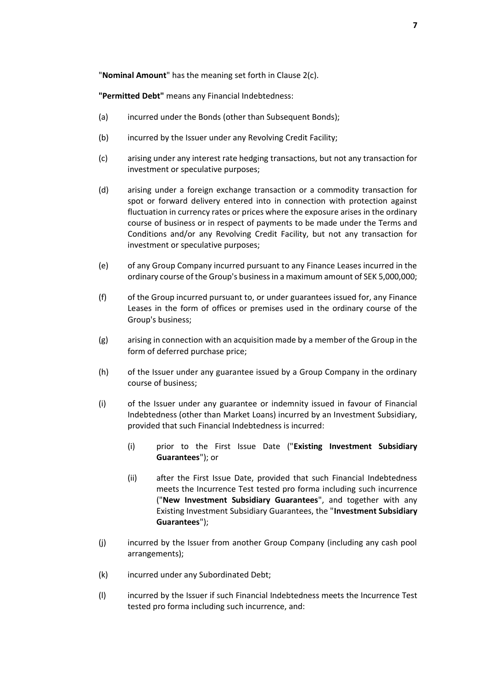"**Nominal Amount**" has the meaning set forth in Clause [2\(c\).](#page-14-1)

**"Permitted Debt"** means any Financial Indebtedness:

- <span id="page-9-0"></span>(a) incurred under the Bonds (other than Subsequent Bonds);
- (b) incurred by the Issuer under any Revolving Credit Facility;
- <span id="page-9-2"></span>(c) arising under any interest rate hedging transactions, but not any transaction for investment or speculative purposes;
- <span id="page-9-3"></span>(d) arising under a foreign exchange transaction or a commodity transaction for spot or forward delivery entered into in connection with protection against fluctuation in currency rates or prices where the exposure arises in the ordinary course of business or in respect of payments to be made under the Terms and Conditions and/or any Revolving Credit Facility, but not any transaction for investment or speculative purposes;
- <span id="page-9-1"></span>(e) of any Group Company incurred pursuant to any Finance Leases incurred in the ordinary course of the Group's business in a maximum amount of SEK 5,000,000;
- (f) of the Group incurred pursuant to, or under guarantees issued for, any Finance Leases in the form of offices or premises used in the ordinary course of the Group's business;
- (g) arising in connection with an acquisition made by a member of the Group in the form of deferred purchase price;
- (h) of the Issuer under any guarantee issued by a Group Company in the ordinary course of business;
- (i) of the Issuer under any guarantee or indemnity issued in favour of Financial Indebtedness (other than Market Loans) incurred by an Investment Subsidiary, provided that such Financial Indebtedness is incurred:
	- (i) prior to the First Issue Date ("**Existing Investment Subsidiary Guarantees**"); or
	- (ii) after the First Issue Date, provided that such Financial Indebtedness meets the Incurrence Test tested pro forma including such incurrence ("**New Investment Subsidiary Guarantees**", and together with any Existing Investment Subsidiary Guarantees, the "**Investment Subsidiary Guarantees**");
- (j) incurred by the Issuer from another Group Company (including any cash pool arrangements);
- (k) incurred under any Subordinated Debt;
- (l) incurred by the Issuer if such Financial Indebtedness meets the Incurrence Test tested pro forma including such incurrence, and: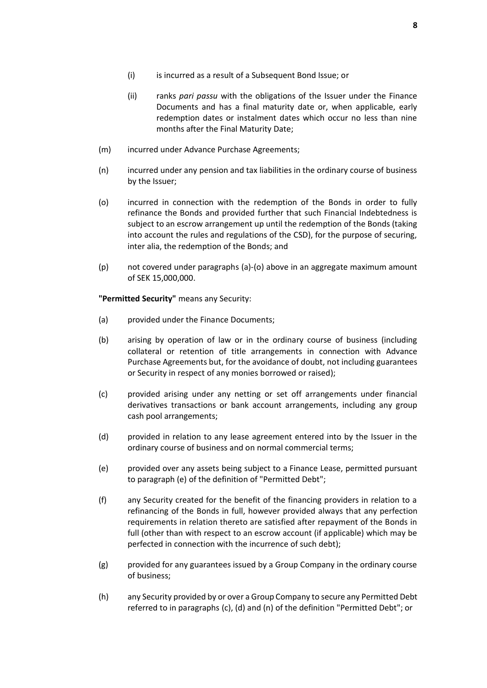- (ii) ranks *pari passu* with the obligations of the Issuer under the Finance Documents and has a final maturity date or, when applicable, early redemption dates or instalment dates which occur no less than nine months after the Final Maturity Date;
- (m) incurred under Advance Purchase Agreements;
- <span id="page-10-1"></span>(n) incurred under any pension and tax liabilities in the ordinary course of business by the Issuer;
- <span id="page-10-0"></span>(o) incurred in connection with the redemption of the Bonds in order to fully refinance the Bonds and provided further that such Financial Indebtedness is subject to an escrow arrangement up until the redemption of the Bonds (taking into account the rules and regulations of the CSD), for the purpose of securing, inter alia, the redemption of the Bonds; and
- (p) not covered under paragraphs [\(a\)](#page-9-0)[-\(o\)](#page-10-0) above in an aggregate maximum amount of SEK 15,000,000.

**"Permitted Security"** means any Security:

- <span id="page-10-2"></span>(a) provided under the Finance Documents;
- (b) arising by operation of law or in the ordinary course of business (including collateral or retention of title arrangements in connection with Advance Purchase Agreements but, for the avoidance of doubt, not including guarantees or Security in respect of any monies borrowed or raised);
- (c) provided arising under any netting or set off arrangements under financial derivatives transactions or bank account arrangements, including any group cash pool arrangements;
- (d) provided in relation to any lease agreement entered into by the Issuer in the ordinary course of business and on normal commercial terms;
- (e) provided over any assets being subject to a Finance Lease, permitted pursuant to paragraph [\(e\)](#page-9-1) of the definition of "Permitted Debt";
- (f) any Security created for the benefit of the financing providers in relation to a refinancing of the Bonds in full, however provided always that any perfection requirements in relation thereto are satisfied after repayment of the Bonds in full (other than with respect to an escrow account (if applicable) which may be perfected in connection with the incurrence of such debt);
- (g) provided for any guarantees issued by a Group Company in the ordinary course of business;
- <span id="page-10-3"></span>(h) any Security provided by or over a Group Company to secure any Permitted Debt referred to in paragraphs [\(c\),](#page-9-2) [\(d\)](#page-9-3) and [\(n\)](#page-10-1) of the definition "Permitted Debt"; or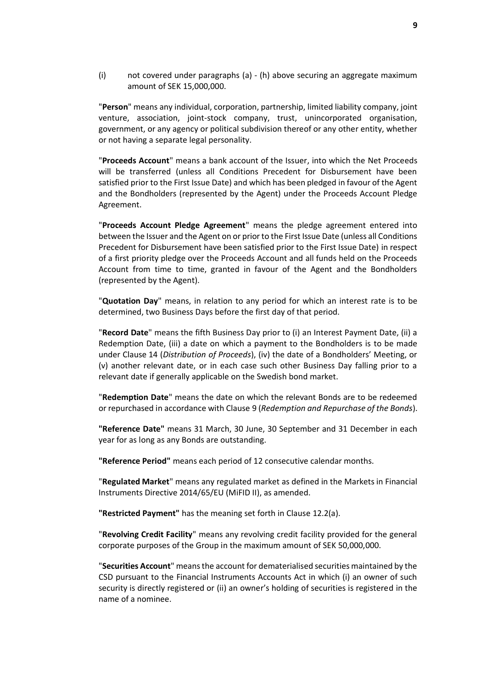(i) not covered under paragraphs [\(a\)](#page-10-2) - [\(h\)](#page-10-3) above securing an aggregate maximum amount of SEK 15,000,000.

"**Person**" means any individual, corporation, partnership, limited liability company, joint venture, association, joint-stock company, trust, unincorporated organisation, government, or any agency or political subdivision thereof or any other entity, whether or not having a separate legal personality.

"**Proceeds Account**" means a bank account of the Issuer, into which the Net Proceeds will be transferred (unless all Conditions Precedent for Disbursement have been satisfied prior to the First Issue Date) and which has been pledged in favour of the Agent and the Bondholders (represented by the Agent) under the Proceeds Account Pledge Agreement.

"**Proceeds Account Pledge Agreement**" means the pledge agreement entered into between the Issuer and the Agent on or prior to the First Issue Date (unless all Conditions Precedent for Disbursement have been satisfied prior to the First Issue Date) in respect of a first priority pledge over the Proceeds Account and all funds held on the Proceeds Account from time to time, granted in favour of the Agent and the Bondholders (represented by the Agent).

"**Quotation Day**" means, in relation to any period for which an interest rate is to be determined, two Business Days before the first day of that period.

"**Record Date**" means the fifth Business Day prior to (i) an Interest Payment Date, (ii) a Redemption Date, (iii) a date on which a payment to the Bondholders is to be made under Clause [14](#page-29-0) (*[Distribution of Proceeds](#page-29-0)*), (iv) the date of a Bondholders' Meeting, or (v) another relevant date, or in each case such other Business Day falling prior to a relevant date if generally applicable on the Swedish bond market.

"**Redemption Date**" means the date on which the relevant Bonds are to be redeemed or repurchased in accordance with Clause [9](#page-18-1) (*[Redemption and Repurchase of the Bonds](#page-18-1)*).

**"Reference Date"** means 31 March, 30 June, 30 September and 31 December in each year for as long as any Bonds are outstanding.

**"Reference Period"** means each period of 12 consecutive calendar months.

"**Regulated Market**" means any regulated market as defined in the Markets in Financial Instruments Directive 2014/65/EU (MiFID II), as amended.

**"Restricted Payment"** has the meaning set forth in Clause [12.2\(a\).](#page-24-1)

"**Revolving Credit Facility**" means any revolving credit facility provided for the general corporate purposes of the Group in the maximum amount of SEK 50,000,000.

"**Securities Account**" means the account for dematerialised securities maintained by the CSD pursuant to the Financial Instruments Accounts Act in which (i) an owner of such security is directly registered or (ii) an owner's holding of securities is registered in the name of a nominee.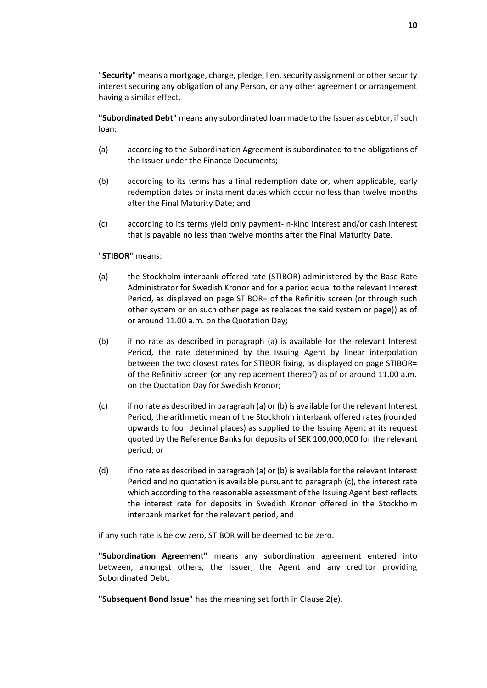"**Security**" means a mortgage, charge, pledge, lien, security assignment or other security interest securing any obligation of any Person, or any other agreement or arrangement having a similar effect.

**"Subordinated Debt"** means any subordinated loan made to the Issuer as debtor, if such loan:

- (a) according to the Subordination Agreement is subordinated to the obligations of the Issuer under the Finance Documents;
- (b) according to its terms has a final redemption date or, when applicable, early redemption dates or instalment dates which occur no less than twelve months after the Final Maturity Date; and
- (c) according to its terms yield only payment-in-kind interest and/or cash interest that is payable no less than twelve months after the Final Maturity Date.

#### "**STIBOR**" means:

- (a) the Stockholm interbank offered rate (STIBOR) administered by the Base Rate Administrator for Swedish Kronor and for a period equal to the relevant Interest Period, as displayed on page STIBOR= of the Refinitiv screen (or through such other system or on such other page as replaces the said system or page)) as of or around 11.00 a.m. on the Quotation Day;
- (b) if no rate as described in paragraph (a) is available for the relevant Interest Period, the rate determined by the Issuing Agent by linear interpolation between the two closest rates for STIBOR fixing, as displayed on page STIBOR= of the Refinitiv screen (or any replacement thereof) as of or around 11.00 a.m. on the Quotation Day for Swedish Kronor;
- (c) if no rate as described in paragraph (a) or (b) is available for the relevant Interest Period, the arithmetic mean of the Stockholm interbank offered rates (rounded upwards to four decimal places) as supplied to the Issuing Agent at its request quoted by the Reference Banks for deposits of SEK 100,000,000 for the relevant period; or
- (d) if no rate as described in paragraph (a) or (b) is available for the relevant Interest Period and no quotation is available pursuant to paragraph (c), the interest rate which according to the reasonable assessment of the Issuing Agent best reflects the interest rate for deposits in Swedish Kronor offered in the Stockholm interbank market for the relevant period, and

if any such rate is below zero, STIBOR will be deemed to be zero.

**"Subordination Agreement"** means any subordination agreement entered into between, amongst others, the Issuer, the Agent and any creditor providing Subordinated Debt.

**"Subsequent Bond Issue"** has the meaning set forth in Claus[e 2\(e\).](#page-14-2)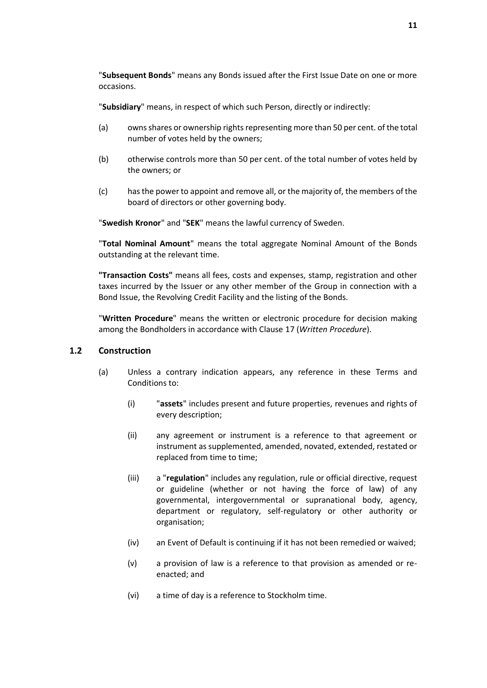"**Subsequent Bonds**" means any Bonds issued after the First Issue Date on one or more occasions.

"**Subsidiary**" means, in respect of which such Person, directly or indirectly:

- (a) owns shares or ownership rights representing more than 50 per cent. of the total number of votes held by the owners;
- (b) otherwise controls more than 50 per cent. of the total number of votes held by the owners; or
- (c) has the power to appoint and remove all, or the majority of, the members of the board of directors or other governing body.

"**Swedish Kronor**" and "**SEK**" means the lawful currency of Sweden.

"**Total Nominal Amount**" means the total aggregate Nominal Amount of the Bonds outstanding at the relevant time.

**"Transaction Costs"** means all fees, costs and expenses, stamp, registration and other taxes incurred by the Issuer or any other member of the Group in connection with a Bond Issue, the Revolving Credit Facility and the listing of the Bonds.

"**Written Procedure**" means the written or electronic procedure for decision making among the Bondholders in accordance with Clause [17](#page-33-1) (*[Written Procedure](#page-33-1)*).

### **1.2 Construction**

- (a) Unless a contrary indication appears, any reference in these Terms and Conditions to:
	- (i) "**assets**" includes present and future properties, revenues and rights of every description;
	- (ii) any agreement or instrument is a reference to that agreement or instrument as supplemented, amended, novated, extended, restated or replaced from time to time;
	- (iii) a "**regulation**" includes any regulation, rule or official directive, request or guideline (whether or not having the force of law) of any governmental, intergovernmental or supranational body, agency, department or regulatory, self-regulatory or other authority or organisation;
	- (iv) an Event of Default is continuing if it has not been remedied or waived;
	- (v) a provision of law is a reference to that provision as amended or reenacted; and
	- (vi) a time of day is a reference to Stockholm time.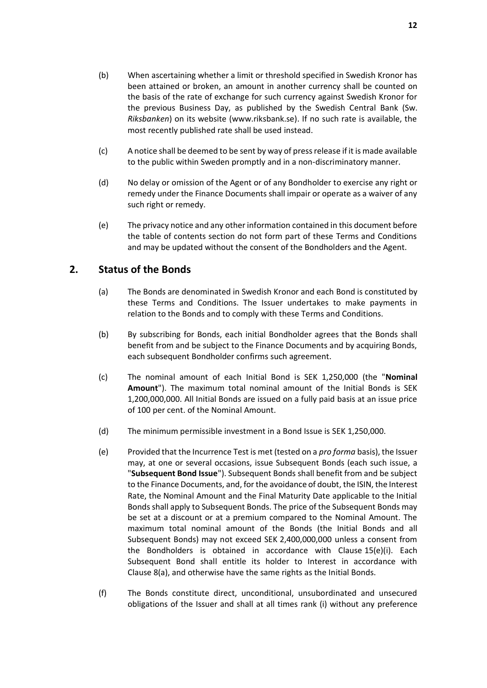- (b) When ascertaining whether a limit or threshold specified in Swedish Kronor has been attained or broken, an amount in another currency shall be counted on the basis of the rate of exchange for such currency against Swedish Kronor for the previous Business Day, as published by the Swedish Central Bank (Sw. *Riksbanken*) on its website (www.riksbank.se). If no such rate is available, the most recently published rate shall be used instead.
- (c) A notice shall be deemed to be sent by way of press release if it is made available to the public within Sweden promptly and in a non-discriminatory manner.
- (d) No delay or omission of the Agent or of any Bondholder to exercise any right or remedy under the Finance Documents shall impair or operate as a waiver of any such right or remedy.
- (e) The privacy notice and any other information contained in this document before the table of contents section do not form part of these Terms and Conditions and may be updated without the consent of the Bondholders and the Agent.

### <span id="page-14-3"></span><span id="page-14-0"></span>**2. Status of the Bonds**

- (a) The Bonds are denominated in Swedish Kronor and each Bond is constituted by these Terms and Conditions. The Issuer undertakes to make payments in relation to the Bonds and to comply with these Terms and Conditions.
- (b) By subscribing for Bonds, each initial Bondholder agrees that the Bonds shall benefit from and be subject to the Finance Documents and by acquiring Bonds, each subsequent Bondholder confirms such agreement.
- <span id="page-14-1"></span>(c) The nominal amount of each Initial Bond is SEK 1,250,000 (the "**Nominal Amount**"). The maximum total nominal amount of the Initial Bonds is SEK 1,200,000,000. All Initial Bonds are issued on a fully paid basis at an issue price of 100 per cent. of the Nominal Amount.
- (d) The minimum permissible investment in a Bond Issue is SEK 1,250,000.
- <span id="page-14-2"></span>(e) Provided that the Incurrence Test is met (tested on a *pro forma* basis), the Issuer may, at one or several occasions, issue Subsequent Bonds (each such issue, a "**Subsequent Bond Issue**"). Subsequent Bonds shall benefit from and be subject to the Finance Documents, and, for the avoidance of doubt, the ISIN, the Interest Rate, the Nominal Amount and the Final Maturity Date applicable to the Initial Bonds shall apply to Subsequent Bonds. The price of the Subsequent Bonds may be set at a discount or at a premium compared to the Nominal Amount. The maximum total nominal amount of the Bonds (the Initial Bonds and all Subsequent Bonds) may not exceed SEK 2,400,000,000 unless a consent from the Bondholders is obtained in accordance with Clause [15\(e\)\(i\).](#page-31-0) Each Subsequent Bond shall entitle its holder to Interest in accordance with Clause [8\(a\),](#page-18-3) and otherwise have the same rights as the Initial Bonds.
- <span id="page-14-4"></span>(f) The Bonds constitute direct, unconditional, unsubordinated and unsecured obligations of the Issuer and shall at all times rank (i) without any preference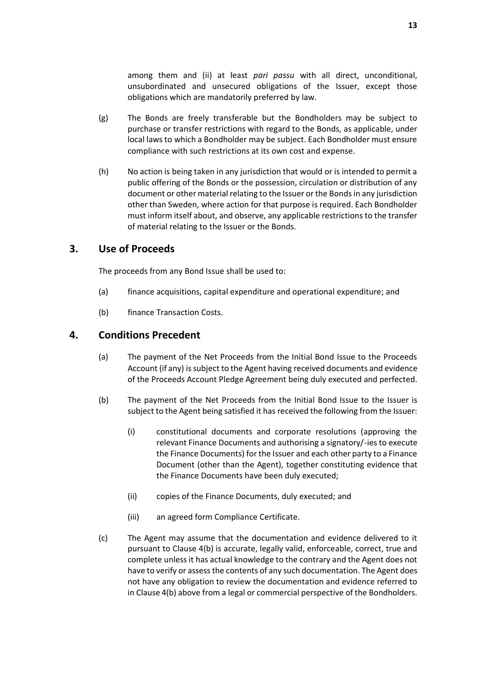among them and (ii) at least *pari passu* with all direct, unconditional, unsubordinated and unsecured obligations of the Issuer, except those obligations which are mandatorily preferred by law.

- (g) The Bonds are freely transferable but the Bondholders may be subject to purchase or transfer restrictions with regard to the Bonds, as applicable, under local laws to which a Bondholder may be subject. Each Bondholder must ensure compliance with such restrictions at its own cost and expense.
- <span id="page-15-3"></span>(h) No action is being taken in any jurisdiction that would or is intended to permit a public offering of the Bonds or the possession, circulation or distribution of any document or other material relating to the Issuer or the Bonds in any jurisdiction other than Sweden, where action for that purpose is required. Each Bondholder must inform itself about, and observe, any applicable restrictions to the transfer of material relating to the Issuer or the Bonds.

### <span id="page-15-0"></span>**3. Use of Proceeds**

The proceeds from any Bond Issue shall be used to:

- (a) finance acquisitions, capital expenditure and operational expenditure; and
- (b) finance Transaction Costs.

### <span id="page-15-1"></span>**4. Conditions Precedent**

- (a) The payment of the Net Proceeds from the Initial Bond Issue to the Proceeds Account (if any) is subject to the Agent having received documents and evidence of the Proceeds Account Pledge Agreement being duly executed and perfected.
- <span id="page-15-2"></span>(b) The payment of the Net Proceeds from the Initial Bond Issue to the Issuer is subject to the Agent being satisfied it has received the following from the Issuer:
	- (i) constitutional documents and corporate resolutions (approving the relevant Finance Documents and authorising a signatory/-ies to execute the Finance Documents) for the Issuer and each other party to a Finance Document (other than the Agent), together constituting evidence that the Finance Documents have been duly executed;
	- (ii) copies of the Finance Documents, duly executed; and
	- (iii) an agreed form Compliance Certificate.
- (c) The Agent may assume that the documentation and evidence delivered to it pursuant to Clause [4\(b\)](#page-15-2) is accurate, legally valid, enforceable, correct, true and complete unless it has actual knowledge to the contrary and the Agent does not have to verify or assess the contents of any such documentation. The Agent does not have any obligation to review the documentation and evidence referred to in Clause [4\(b\)](#page-15-2) above from a legal or commercial perspective of the Bondholders.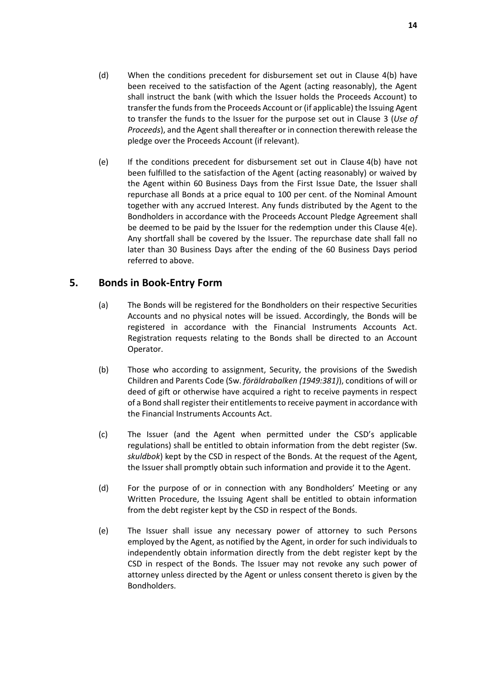- (d) When the conditions precedent for disbursement set out in Clause [4\(b\)](#page-15-2) have been received to the satisfaction of the Agent (acting reasonably), the Agent shall instruct the bank (with which the Issuer holds the Proceeds Account) to transfer the funds from the Proceeds Account or (if applicable) the Issuing Agent to transfer the funds to the Issuer for the purpose set out in Clause [3](#page-15-0) (*[Use of](#page-15-0)  [Proceeds](#page-15-0)*), and the Agent shall thereafter or in connection therewith release the pledge over the Proceeds Account (if relevant).
- <span id="page-16-1"></span>(e) If the conditions precedent for disbursement set out in Clause [4\(b\)](#page-15-2) have not been fulfilled to the satisfaction of the Agent (acting reasonably) or waived by the Agent within 60 Business Days from the First Issue Date, the Issuer shall repurchase all Bonds at a price equal to 100 per cent. of the Nominal Amount together with any accrued Interest. Any funds distributed by the Agent to the Bondholders in accordance with the Proceeds Account Pledge Agreement shall be deemed to be paid by the Issuer for the redemption under this Clause [4\(e\).](#page-16-1) Any shortfall shall be covered by the Issuer. The repurchase date shall fall no later than 30 Business Days after the ending of the 60 Business Days period referred to above.

### <span id="page-16-0"></span>**5. Bonds in Book-Entry Form**

- (a) The Bonds will be registered for the Bondholders on their respective Securities Accounts and no physical notes will be issued. Accordingly, the Bonds will be registered in accordance with the Financial Instruments Accounts Act. Registration requests relating to the Bonds shall be directed to an Account Operator.
- (b) Those who according to assignment, Security, the provisions of the Swedish Children and Parents Code (Sw. *föräldrabalken (1949:381)*), conditions of will or deed of gift or otherwise have acquired a right to receive payments in respect of a Bond shall register their entitlements to receive payment in accordance with the Financial Instruments Accounts Act.
- (c) The Issuer (and the Agent when permitted under the CSD's applicable regulations) shall be entitled to obtain information from the debt register (Sw. *skuldbok*) kept by the CSD in respect of the Bonds. At the request of the Agent, the Issuer shall promptly obtain such information and provide it to the Agent.
- (d) For the purpose of or in connection with any Bondholders' Meeting or any Written Procedure, the Issuing Agent shall be entitled to obtain information from the debt register kept by the CSD in respect of the Bonds.
- (e) The Issuer shall issue any necessary power of attorney to such Persons employed by the Agent, as notified by the Agent, in order for such individuals to independently obtain information directly from the debt register kept by the CSD in respect of the Bonds. The Issuer may not revoke any such power of attorney unless directed by the Agent or unless consent thereto is given by the Bondholders.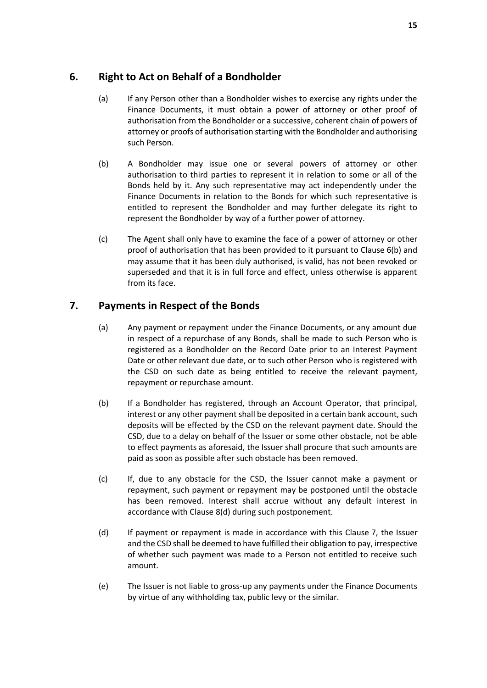# <span id="page-17-0"></span>**6. Right to Act on Behalf of a Bondholder**

- (a) If any Person other than a Bondholder wishes to exercise any rights under the Finance Documents, it must obtain a power of attorney or other proof of authorisation from the Bondholder or a successive, coherent chain of powers of attorney or proofs of authorisation starting with the Bondholder and authorising such Person.
- <span id="page-17-2"></span>(b) A Bondholder may issue one or several powers of attorney or other authorisation to third parties to represent it in relation to some or all of the Bonds held by it. Any such representative may act independently under the Finance Documents in relation to the Bonds for which such representative is entitled to represent the Bondholder and may further delegate its right to represent the Bondholder by way of a further power of attorney.
- (c) The Agent shall only have to examine the face of a power of attorney or other proof of authorisation that has been provided to it pursuant to Clause [6\(b\)](#page-17-2) and may assume that it has been duly authorised, is valid, has not been revoked or superseded and that it is in full force and effect, unless otherwise is apparent from its face.

# <span id="page-17-3"></span><span id="page-17-1"></span>**7. Payments in Respect of the Bonds**

- (a) Any payment or repayment under the Finance Documents, or any amount due in respect of a repurchase of any Bonds, shall be made to such Person who is registered as a Bondholder on the Record Date prior to an Interest Payment Date or other relevant due date, or to such other Person who is registered with the CSD on such date as being entitled to receive the relevant payment, repayment or repurchase amount.
- (b) If a Bondholder has registered, through an Account Operator, that principal, interest or any other payment shall be deposited in a certain bank account, such deposits will be effected by the CSD on the relevant payment date. Should the CSD, due to a delay on behalf of the Issuer or some other obstacle, not be able to effect payments as aforesaid, the Issuer shall procure that such amounts are paid as soon as possible after such obstacle has been removed.
- (c) If, due to any obstacle for the CSD, the Issuer cannot make a payment or repayment, such payment or repayment may be postponed until the obstacle has been removed. Interest shall accrue without any default interest in accordance with Clause [8\(d\)](#page-18-5) during such postponement.
- (d) If payment or repayment is made in accordance with this Clause [7,](#page-17-1) the Issuer and the CSD shall be deemed to have fulfilled their obligation to pay, irrespective of whether such payment was made to a Person not entitled to receive such amount.
- (e) The Issuer is not liable to gross-up any payments under the Finance Documents by virtue of any withholding tax, public levy or the similar.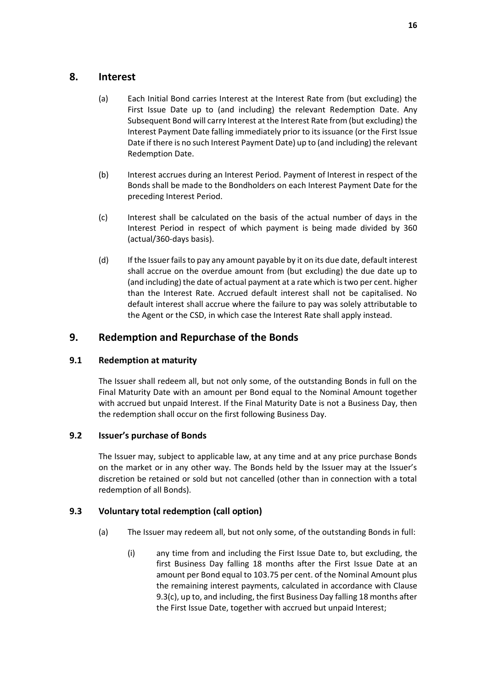### <span id="page-18-3"></span><span id="page-18-0"></span>**8. Interest**

- (a) Each Initial Bond carries Interest at the Interest Rate from (but excluding) the First Issue Date up to (and including) the relevant Redemption Date. Any Subsequent Bond will carry Interest at the Interest Rate from (but excluding) the Interest Payment Date falling immediately prior to its issuance (or the First Issue Date if there is no such Interest Payment Date) up to (and including) the relevant Redemption Date.
- (b) Interest accrues during an Interest Period. Payment of Interest in respect of the Bonds shall be made to the Bondholders on each Interest Payment Date for the preceding Interest Period.
- <span id="page-18-4"></span>(c) Interest shall be calculated on the basis of the actual number of days in the Interest Period in respect of which payment is being made divided by 360 (actual/360-days basis).
- <span id="page-18-5"></span>(d) If the Issuer fails to pay any amount payable by it on its due date, default interest shall accrue on the overdue amount from (but excluding) the due date up to (and including) the date of actual payment at a rate which is two per cent. higher than the Interest Rate. Accrued default interest shall not be capitalised. No default interest shall accrue where the failure to pay was solely attributable to the Agent or the CSD, in which case the Interest Rate shall apply instead.

# <span id="page-18-1"></span>**9. Redemption and Repurchase of the Bonds**

### **9.1 Redemption at maturity**

The Issuer shall redeem all, but not only some, of the outstanding Bonds in full on the Final Maturity Date with an amount per Bond equal to the Nominal Amount together with accrued but unpaid Interest. If the Final Maturity Date is not a Business Day, then the redemption shall occur on the first following Business Day.

### **9.2 Issuer's purchase of Bonds**

The Issuer may, subject to applicable law, at any time and at any price purchase Bonds on the market or in any other way. The Bonds held by the Issuer may at the Issuer's discretion be retained or sold but not cancelled (other than in connection with a total redemption of all Bonds).

### <span id="page-18-6"></span><span id="page-18-2"></span>**9.3 Voluntary total redemption (call option)**

- <span id="page-18-7"></span>(a) The Issuer may redeem all, but not only some, of the outstanding Bonds in full:
	- (i) any time from and including the First Issue Date to, but excluding, the first Business Day falling 18 months after the First Issue Date at an amount per Bond equal to 103.75 per cent. of the Nominal Amount plus the remaining interest payments, calculated in accordance with Clause [9.3\(c\),](#page-19-0) up to, and including, the first Business Day falling 18 months after the First Issue Date, together with accrued but unpaid Interest;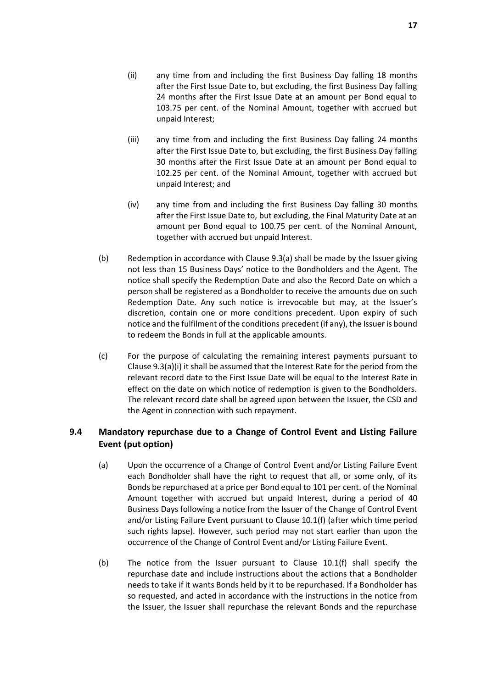- <span id="page-19-3"></span>(ii) any time from and including the first Business Day falling 18 months after the First Issue Date to, but excluding, the first Business Day falling 24 months after the First Issue Date at an amount per Bond equal to 103.75 per cent. of the Nominal Amount, together with accrued but unpaid Interest;
- (iii) any time from and including the first Business Day falling 24 months after the First Issue Date to, but excluding, the first Business Day falling 30 months after the First Issue Date at an amount per Bond equal to 102.25 per cent. of the Nominal Amount, together with accrued but unpaid Interest; and
- (iv) any time from and including the first Business Day falling 30 months after the First Issue Date to, but excluding, the Final Maturity Date at an amount per Bond equal to 100.75 per cent. of the Nominal Amount, together with accrued but unpaid Interest.
- (b) Redemption in accordance with Clause [9.3\(a\)](#page-18-6) shall be made by the Issuer giving not less than 15 Business Days' notice to the Bondholders and the Agent. The notice shall specify the Redemption Date and also the Record Date on which a person shall be registered as a Bondholder to receive the amounts due on such Redemption Date. Any such notice is irrevocable but may, at the Issuer's discretion, contain one or more conditions precedent. Upon expiry of such notice and the fulfilment of the conditions precedent (if any), the Issuer is bound to redeem the Bonds in full at the applicable amounts.
- <span id="page-19-0"></span>(c) For the purpose of calculating the remaining interest payments pursuant to Claus[e 9.3\(a\)\(i\)](#page-18-7) it shall be assumed that the Interest Rate for the period from the relevant record date to the First Issue Date will be equal to the Interest Rate in effect on the date on which notice of redemption is given to the Bondholders. The relevant record date shall be agreed upon between the Issuer, the CSD and the Agent in connection with such repayment.

### <span id="page-19-2"></span>**9.4 Mandatory repurchase due to a Change of Control Event and Listing Failure Event (put option)**

- <span id="page-19-1"></span>(a) Upon the occurrence of a Change of Control Event and/or Listing Failure Event each Bondholder shall have the right to request that all, or some only, of its Bonds be repurchased at a price per Bond equal to 101 per cent. of the Nominal Amount together with accrued but unpaid Interest, during a period of 40 Business Days following a notice from the Issuer of the Change of Control Event and/or Listing Failure Event pursuant to Clause [10.1\(f\)](#page-21-0) (after which time period such rights lapse). However, such period may not start earlier than upon the occurrence of the Change of Control Event and/or Listing Failure Event.
- (b) The notice from the Issuer pursuant to Clause [10.1\(f\)](#page-21-0) shall specify the repurchase date and include instructions about the actions that a Bondholder needs to take if it wants Bonds held by it to be repurchased. If a Bondholder has so requested, and acted in accordance with the instructions in the notice from the Issuer, the Issuer shall repurchase the relevant Bonds and the repurchase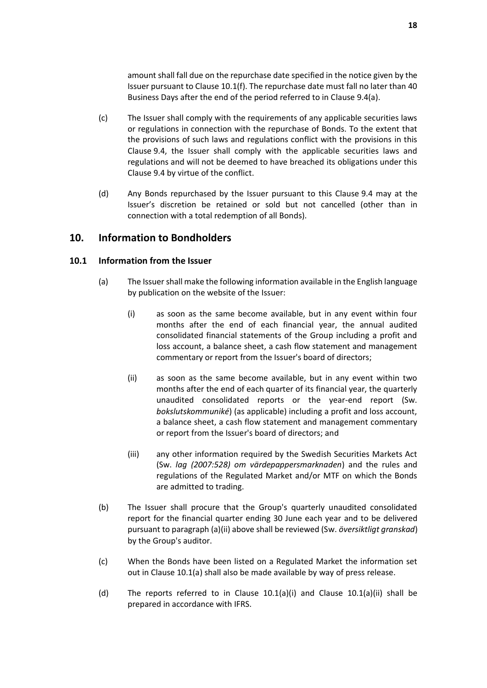amount shall fall due on the repurchase date specified in the notice given by the Issuer pursuant to Claus[e 10.1\(f\).](#page-21-0) The repurchase date must fall no later than 40 Business Days after the end of the period referred to in Clause [9.4\(a\).](#page-19-1)

- (c) The Issuer shall comply with the requirements of any applicable securities laws or regulations in connection with the repurchase of Bonds. To the extent that the provisions of such laws and regulations conflict with the provisions in this Clause [9.4,](#page-19-2) the Issuer shall comply with the applicable securities laws and regulations and will not be deemed to have breached its obligations under this Clause [9.4](#page-19-2) by virtue of the conflict.
- (d) Any Bonds repurchased by the Issuer pursuant to this Clause [9.4](#page-19-2) may at the Issuer's discretion be retained or sold but not cancelled (other than in connection with a total redemption of all Bonds).

### <span id="page-20-0"></span>**10. Information to Bondholders**

#### <span id="page-20-4"></span><span id="page-20-3"></span>**10.1 Information from the Issuer**

- <span id="page-20-2"></span><span id="page-20-1"></span>(a) The Issuer shall make the following information available in the English language by publication on the website of the Issuer:
	- (i) as soon as the same become available, but in any event within four months after the end of each financial year, the annual audited consolidated financial statements of the Group including a profit and loss account, a balance sheet, a cash flow statement and management commentary or report from the Issuer's board of directors;
	- (ii) as soon as the same become available, but in any event within two months after the end of each quarter of its financial year, the quarterly unaudited consolidated reports or the year-end report (Sw. *bokslutskommuniké*) (as applicable) including a profit and loss account, a balance sheet, a cash flow statement and management commentary or report from the Issuer's board of directors; and
	- (iii) any other information required by the Swedish Securities Markets Act (Sw. *lag (2007:528) om värdepappersmarknaden*) and the rules and regulations of the Regulated Market and/or MTF on which the Bonds are admitted to trading.
- (b) The Issuer shall procure that the Group's quarterly unaudited consolidated report for the financial quarter ending 30 June each year and to be delivered pursuant to paragraph [\(a\)\(ii\)](#page-20-2) above shall be reviewed (Sw. *översiktligt granskad*) by the Group's auditor.
- (c) When the Bonds have been listed on a Regulated Market the information set out in Clause [10.1\(a\)](#page-20-3) shall also be made available by way of press release.
- (d) The reports referred to in Clause  $10.1(a)(i)$  and Clause  $10.1(a)(ii)$  shall be prepared in accordance with IFRS.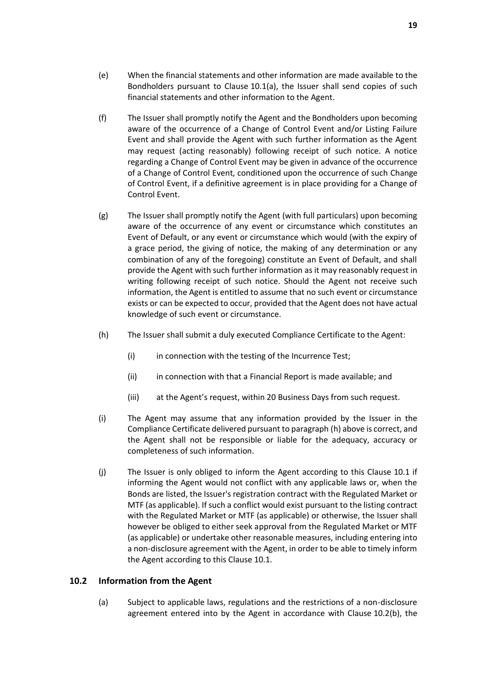- (e) When the financial statements and other information are made available to the Bondholders pursuant to Clause [10.1\(a\),](#page-20-3) the Issuer shall send copies of such financial statements and other information to the Agent.
- <span id="page-21-0"></span>(f) The Issuer shall promptly notify the Agent and the Bondholders upon becoming aware of the occurrence of a Change of Control Event and/or Listing Failure Event and shall provide the Agent with such further information as the Agent may request (acting reasonably) following receipt of such notice. A notice regarding a Change of Control Event may be given in advance of the occurrence of a Change of Control Event, conditioned upon the occurrence of such Change of Control Event, if a definitive agreement is in place providing for a Change of Control Event.
- (g) The Issuer shall promptly notify the Agent (with full particulars) upon becoming aware of the occurrence of any event or circumstance which constitutes an Event of Default, or any event or circumstance which would (with the expiry of a grace period, the giving of notice, the making of any determination or any combination of any of the foregoing) constitute an Event of Default, and shall provide the Agent with such further information as it may reasonably request in writing following receipt of such notice. Should the Agent not receive such information, the Agent is entitled to assume that no such event or circumstance exists or can be expected to occur, provided that the Agent does not have actual knowledge of such event or circumstance.
- <span id="page-21-1"></span>(h) The Issuer shall submit a duly executed Compliance Certificate to the Agent:
	- (i) in connection with the testing of the Incurrence Test;
	- (ii) in connection with that a Financial Report is made available; and
	- (iii) at the Agent's request, within 20 Business Days from such request.
- (i) The Agent may assume that any information provided by the Issuer in the Compliance Certificate delivered pursuant to paragrap[h \(h\)](#page-21-1) above is correct, and the Agent shall not be responsible or liable for the adequacy, accuracy or completeness of such information.
- (j) The Issuer is only obliged to inform the Agent according to this Clause [10.1](#page-20-4) if informing the Agent would not conflict with any applicable laws or, when the Bonds are listed, the Issuer's registration contract with the Regulated Market or MTF (as applicable). If such a conflict would exist pursuant to the listing contract with the Regulated Market or MTF (as applicable) or otherwise, the Issuer shall however be obliged to either seek approval from the Regulated Market or MTF (as applicable) or undertake other reasonable measures, including entering into a non-disclosure agreement with the Agent, in order to be able to timely inform the Agent according to this Claus[e 10.1.](#page-20-4)

### **10.2 Information from the Agent**

(a) Subject to applicable laws, regulations and the restrictions of a non-disclosure agreement entered into by the Agent in accordance with Clause [10.2\(b\),](#page-22-2) the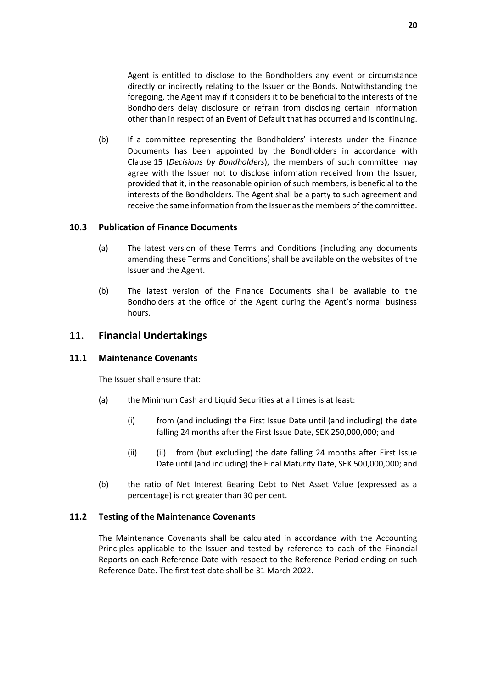Agent is entitled to disclose to the Bondholders any event or circumstance directly or indirectly relating to the Issuer or the Bonds. Notwithstanding the foregoing, the Agent may if it considers it to be beneficial to the interests of the Bondholders delay disclosure or refrain from disclosing certain information other than in respect of an Event of Default that has occurred and is continuing.

<span id="page-22-2"></span>(b) If a committee representing the Bondholders' interests under the Finance Documents has been appointed by the Bondholders in accordance with Clause [15](#page-30-0) (*[Decisions by Bondholders](#page-30-0)*), the members of such committee may agree with the Issuer not to disclose information received from the Issuer, provided that it, in the reasonable opinion of such members, is beneficial to the interests of the Bondholders. The Agent shall be a party to such agreement and receive the same information from the Issuer as the members of the committee.

#### <span id="page-22-3"></span>**10.3 Publication of Finance Documents**

- (a) The latest version of these Terms and Conditions (including any documents amending these Terms and Conditions) shall be available on the websites of the Issuer and the Agent.
- (b) The latest version of the Finance Documents shall be available to the Bondholders at the office of the Agent during the Agent's normal business hours.

### <span id="page-22-0"></span>**11. Financial Undertakings**

#### <span id="page-22-1"></span>**11.1 Maintenance Covenants**

The Issuer shall ensure that:

- (a) the Minimum Cash and Liquid Securities at all times is at least:
	- (i) from (and including) the First Issue Date until (and including) the date falling 24 months after the First Issue Date, SEK 250,000,000; and
	- (ii) (ii) from (but excluding) the date falling 24 months after First Issue Date until (and including) the Final Maturity Date, SEK 500,000,000; and
- (b) the ratio of Net Interest Bearing Debt to Net Asset Value (expressed as a percentage) is not greater than 30 per cent.

### **11.2 Testing of the Maintenance Covenants**

The Maintenance Covenants shall be calculated in accordance with the Accounting Principles applicable to the Issuer and tested by reference to each of the Financial Reports on each Reference Date with respect to the Reference Period ending on such Reference Date. The first test date shall be 31 March 2022.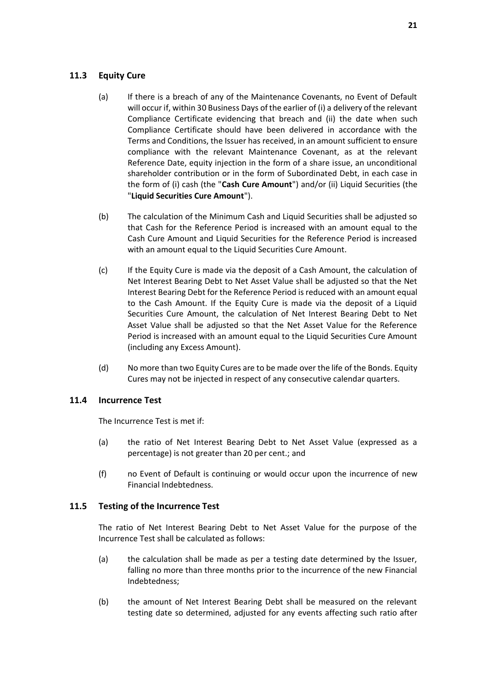### <span id="page-23-1"></span>**11.3 Equity Cure**

- (a) If there is a breach of any of the Maintenance Covenants, no Event of Default will occur if, within 30 Business Days of the earlier of (i) a delivery of the relevant Compliance Certificate evidencing that breach and (ii) the date when such Compliance Certificate should have been delivered in accordance with the Terms and Conditions, the Issuer has received, in an amount sufficient to ensure compliance with the relevant Maintenance Covenant, as at the relevant Reference Date, equity injection in the form of a share issue, an unconditional shareholder contribution or in the form of Subordinated Debt, in each case in the form of (i) cash (the "**Cash Cure Amount**") and/or (ii) Liquid Securities (the "**Liquid Securities Cure Amount**").
- (b) The calculation of the Minimum Cash and Liquid Securities shall be adjusted so that Cash for the Reference Period is increased with an amount equal to the Cash Cure Amount and Liquid Securities for the Reference Period is increased with an amount equal to the Liquid Securities Cure Amount.
- (c) If the Equity Cure is made via the deposit of a Cash Amount, the calculation of Net Interest Bearing Debt to Net Asset Value shall be adjusted so that the Net Interest Bearing Debt for the Reference Period is reduced with an amount equal to the Cash Amount. If the Equity Cure is made via the deposit of a Liquid Securities Cure Amount, the calculation of Net Interest Bearing Debt to Net Asset Value shall be adjusted so that the Net Asset Value for the Reference Period is increased with an amount equal to the Liquid Securities Cure Amount (including any Excess Amount).
- (d) No more than two Equity Cures are to be made over the life of the Bonds. Equity Cures may not be injected in respect of any consecutive calendar quarters.

### <span id="page-23-0"></span>**11.4 Incurrence Test**

The Incurrence Test is met if:

- (a) the ratio of Net Interest Bearing Debt to Net Asset Value (expressed as a percentage) is not greater than 20 per cent.; and
- (f) no Event of Default is continuing or would occur upon the incurrence of new Financial Indebtedness.

### **11.5 Testing of the Incurrence Test**

The ratio of Net Interest Bearing Debt to Net Asset Value for the purpose of the Incurrence Test shall be calculated as follows:

- (a) the calculation shall be made as per a testing date determined by the Issuer, falling no more than three months prior to the incurrence of the new Financial Indebtedness;
- (b) the amount of Net Interest Bearing Debt shall be measured on the relevant testing date so determined, adjusted for any events affecting such ratio after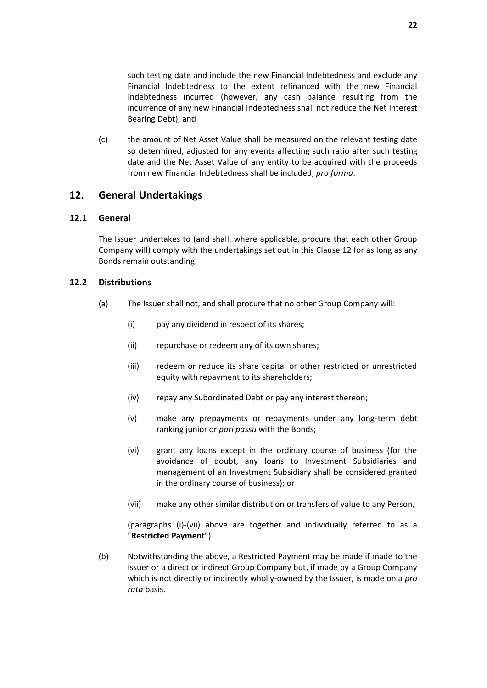such testing date and include the new Financial Indebtedness and exclude any Financial Indebtedness to the extent refinanced with the new Financial Indebtedness incurred (however, any cash balance resulting from the incurrence of any new Financial Indebtedness shall not reduce the Net Interest Bearing Debt); and

(c) the amount of Net Asset Value shall be measured on the relevant testing date so determined, adjusted for any events affecting such ratio after such testing date and the Net Asset Value of any entity to be acquired with the proceeds from new Financial Indebtedness shall be included, *pro forma*.

### <span id="page-24-0"></span>**12. General Undertakings**

#### **12.1 General**

The Issuer undertakes to (and shall, where applicable, procure that each other Group Company will) comply with the undertakings set out in this Clause [12](#page-24-0) for as long as any Bonds remain outstanding.

#### <span id="page-24-1"></span>**12.2 Distributions**

- <span id="page-24-2"></span>(a) The Issuer shall not, and shall procure that no other Group Company will:
	- (i) pay any dividend in respect of its shares;
	- (ii) repurchase or redeem any of its own shares;
	- (iii) redeem or reduce its share capital or other restricted or unrestricted equity with repayment to its shareholders;
	- (iv) repay any Subordinated Debt or pay any interest thereon;
	- (v) make any prepayments or repayments under any long-term debt ranking junior or *pari passu* with the Bonds;
	- (vi) grant any loans except in the ordinary course of business (for the avoidance of doubt, any loans to Investment Subsidiaries and management of an Investment Subsidiary shall be considered granted in the ordinary course of business); or
	- (vii) make any other similar distribution or transfers of value to any Person,

(paragraphs [\(i\)](#page-24-2)[-\(vii\)](#page-24-3) above are together and individually referred to as a "**Restricted Payment**").

<span id="page-24-3"></span>(b) Notwithstanding the above, a Restricted Payment may be made if made to the Issuer or a direct or indirect Group Company but, if made by a Group Company which is not directly or indirectly wholly-owned by the Issuer, is made on a *pro rata* basis.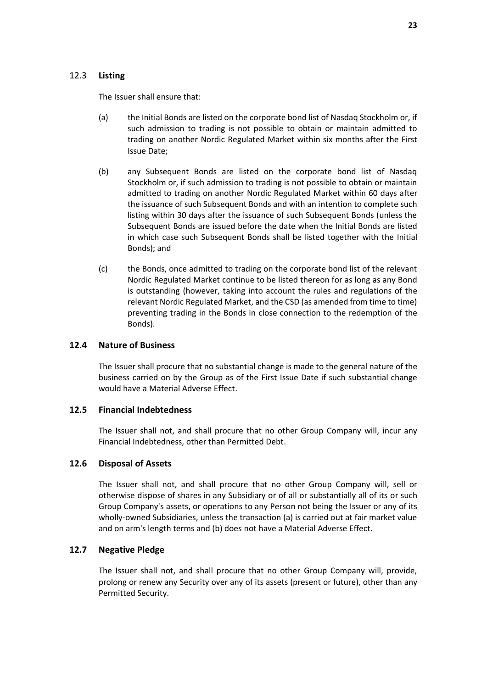### 12.3 **Listing**

The Issuer shall ensure that:

- (a) the Initial Bonds are listed on the corporate bond list of Nasdaq Stockholm or, if such admission to trading is not possible to obtain or maintain admitted to trading on another Nordic Regulated Market within six months after the First Issue Date;
- (b) any Subsequent Bonds are listed on the corporate bond list of Nasdaq Stockholm or, if such admission to trading is not possible to obtain or maintain admitted to trading on another Nordic Regulated Market within 60 days after the issuance of such Subsequent Bonds and with an intention to complete such listing within 30 days after the issuance of such Subsequent Bonds (unless the Subsequent Bonds are issued before the date when the Initial Bonds are listed in which case such Subsequent Bonds shall be listed together with the Initial Bonds); and
- (c) the Bonds, once admitted to trading on the corporate bond list of the relevant Nordic Regulated Market continue to be listed thereon for as long as any Bond is outstanding (however, taking into account the rules and regulations of the relevant Nordic Regulated Market, and the CSD (as amended from time to time) preventing trading in the Bonds in close connection to the redemption of the Bonds).

### **12.4 Nature of Business**

The Issuer shall procure that no substantial change is made to the general nature of the business carried on by the Group as of the First Issue Date if such substantial change would have a Material Adverse Effect.

### **12.5 Financial Indebtedness**

The Issuer shall not, and shall procure that no other Group Company will, incur any Financial Indebtedness, other than Permitted Debt.

### **12.6 Disposal of Assets**

The Issuer shall not, and shall procure that no other Group Company will, sell or otherwise dispose of shares in any Subsidiary or of all or substantially all of its or such Group Company's assets, or operations to any Person not being the Issuer or any of its wholly-owned Subsidiaries, unless the transaction (a) is carried out at fair market value and on arm's length terms and (b) does not have a Material Adverse Effect.

### **12.7 Negative Pledge**

The Issuer shall not, and shall procure that no other Group Company will, provide, prolong or renew any Security over any of its assets (present or future), other than any Permitted Security.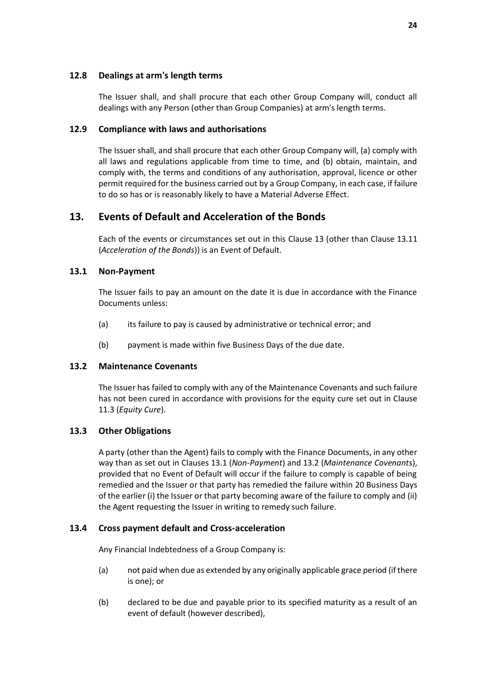#### **12.8 Dealings at arm's length terms**

The Issuer shall, and shall procure that each other Group Company will, conduct all dealings with any Person (other than Group Companies) at arm's length terms.

#### **12.9 Compliance with laws and authorisations**

The Issuer shall, and shall procure that each other Group Company will, (a) comply with all laws and regulations applicable from time to time, and (b) obtain, maintain, and comply with, the terms and conditions of any authorisation, approval, licence or other permit required for the business carried out by a Group Company, in each case, if failure to do so has or is reasonably likely to have a Material Adverse Effect.

# <span id="page-26-0"></span>**13. Events of Default and Acceleration of the Bonds**

Each of the events or circumstances set out in this Clause [13](#page-26-0) (other than Clause [13.11](#page-28-1) (*[Acceleration of the Bonds](#page-28-1)*)) is an Event of Default.

### <span id="page-26-1"></span>**13.1 Non-Payment**

The Issuer fails to pay an amount on the date it is due in accordance with the Finance Documents unless:

- (a) its failure to pay is caused by administrative or technical error; and
- (b) payment is made within five Business Days of the due date.

### <span id="page-26-2"></span>**13.2 Maintenance Covenants**

The Issuer has failed to comply with any of the Maintenance Covenants and such failure has not been cured in accordance with provisions for the equity cure set out in Clause [11.3](#page-23-1) (*[Equity Cure](#page-23-1)*).

### **13.3 Other Obligations**

A party (other than the Agent) fails to comply with the Finance Documents, in any other way than as set out in Clauses [13.1](#page-26-1) (*[Non-Payment](#page-26-1)*) an[d 13.2](#page-26-2) (*[Maintenance Covenants](#page-26-2)*), provided that no Event of Default will occur if the failure to comply is capable of being remedied and the Issuer or that party has remedied the failure within 20 Business Days of the earlier (i) the Issuer or that party becoming aware of the failure to comply and (ii) the Agent requesting the Issuer in writing to remedy such failure.

### <span id="page-26-3"></span>**13.4 Cross payment default and Cross-acceleration**

Any Financial Indebtedness of a Group Company is:

- (a) not paid when due as extended by any originally applicable grace period (if there is one); or
- (b) declared to be due and payable prior to its specified maturity as a result of an event of default (however described),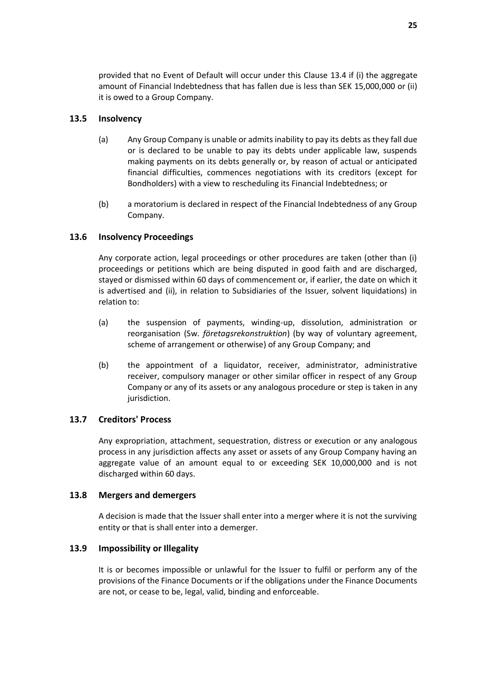provided that no Event of Default will occur under this Clause [13.4](#page-26-3) if (i) the aggregate amount of Financial Indebtedness that has fallen due is less than SEK 15,000,000 or (ii) it is owed to a Group Company.

#### **13.5 Insolvency**

- (a) Any Group Company is unable or admits inability to pay its debts as they fall due or is declared to be unable to pay its debts under applicable law, suspends making payments on its debts generally or, by reason of actual or anticipated financial difficulties, commences negotiations with its creditors (except for Bondholders) with a view to rescheduling its Financial Indebtedness; or
- (b) a moratorium is declared in respect of the Financial Indebtedness of any Group Company.

### <span id="page-27-0"></span>**13.6 Insolvency Proceedings**

Any corporate action, legal proceedings or other procedures are taken (other than (i) proceedings or petitions which are being disputed in good faith and are discharged, stayed or dismissed within 60 days of commencement or, if earlier, the date on which it is advertised and (ii), in relation to Subsidiaries of the Issuer, solvent liquidations) in relation to:

- (a) the suspension of payments, winding-up, dissolution, administration or reorganisation (Sw. *företagsrekonstruktion*) (by way of voluntary agreement, scheme of arrangement or otherwise) of any Group Company; and
- (b) the appointment of a liquidator, receiver, administrator, administrative receiver, compulsory manager or other similar officer in respect of any Group Company or any of its assets or any analogous procedure or step is taken in any jurisdiction.

### **13.7 Creditors' Process**

Any expropriation, attachment, sequestration, distress or execution or any analogous process in any jurisdiction affects any asset or assets of any Group Company having an aggregate value of an amount equal to or exceeding SEK 10,000,000 and is not discharged within 60 days.

### **13.8 Mergers and demergers**

A decision is made that the Issuer shall enter into a merger where it is not the surviving entity or that is shall enter into a demerger.

### **13.9 Impossibility or Illegality**

It is or becomes impossible or unlawful for the Issuer to fulfil or perform any of the provisions of the Finance Documents or if the obligations under the Finance Documents are not, or cease to be, legal, valid, binding and enforceable.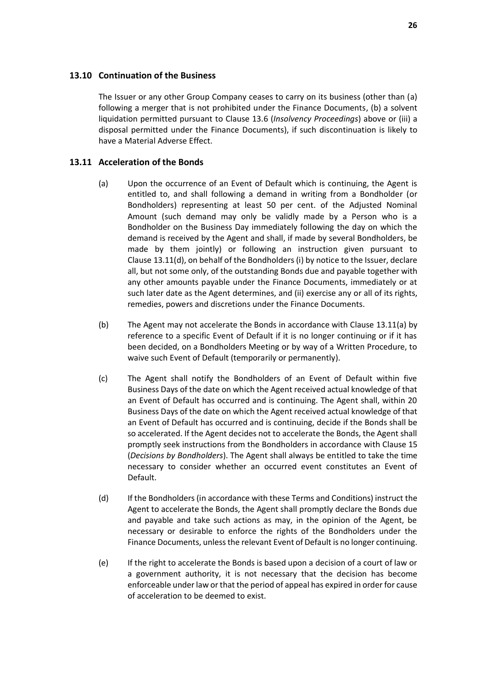#### <span id="page-28-0"></span>**13.10 Continuation of the Business**

The Issuer or any other Group Company ceases to carry on its business (other than (a) following a merger that is not prohibited under the Finance Documents, (b) a solvent liquidation permitted pursuant to Clause [13.6](#page-27-0) (*[Insolvency Proceedings](#page-27-0)*) above or (iii) a disposal permitted under the Finance Documents), if such discontinuation is likely to have a Material Adverse Effect.

#### <span id="page-28-3"></span><span id="page-28-1"></span>**13.11 Acceleration of the Bonds**

- (a) Upon the occurrence of an Event of Default which is continuing, the Agent is entitled to, and shall following a demand in writing from a Bondholder (or Bondholders) representing at least 50 per cent. of the Adjusted Nominal Amount (such demand may only be validly made by a Person who is a Bondholder on the Business Day immediately following the day on which the demand is received by the Agent and shall, if made by several Bondholders, be made by them jointly) or following an instruction given pursuant to Clause [13.11\(d\),](#page-28-2) on behalf of the Bondholders (i) by notice to the Issuer, declare all, but not some only, of the outstanding Bonds due and payable together with any other amounts payable under the Finance Documents, immediately or at such later date as the Agent determines, and (ii) exercise any or all of its rights, remedies, powers and discretions under the Finance Documents.
- (b) The Agent may not accelerate the Bonds in accordance with Clause [13.11\(a\)](#page-28-3) by reference to a specific Event of Default if it is no longer continuing or if it has been decided, on a Bondholders Meeting or by way of a Written Procedure, to waive such Event of Default (temporarily or permanently).
- <span id="page-28-4"></span>(c) The Agent shall notify the Bondholders of an Event of Default within five Business Days of the date on which the Agent received actual knowledge of that an Event of Default has occurred and is continuing. The Agent shall, within 20 Business Days of the date on which the Agent received actual knowledge of that an Event of Default has occurred and is continuing, decide if the Bonds shall be so accelerated. If the Agent decides not to accelerate the Bonds, the Agent shall promptly seek instructions from the Bondholders in accordance with Clause [15](#page-30-0) (*[Decisions by Bondholders](#page-30-0)*). The Agent shall always be entitled to take the time necessary to consider whether an occurred event constitutes an Event of Default.
- <span id="page-28-2"></span>(d) If the Bondholders (in accordance with these Terms and Conditions) instruct the Agent to accelerate the Bonds, the Agent shall promptly declare the Bonds due and payable and take such actions as may, in the opinion of the Agent, be necessary or desirable to enforce the rights of the Bondholders under the Finance Documents, unless the relevant Event of Default is no longer continuing.
- (e) If the right to accelerate the Bonds is based upon a decision of a court of law or a government authority, it is not necessary that the decision has become enforceable under law or that the period of appeal has expired in order for cause of acceleration to be deemed to exist.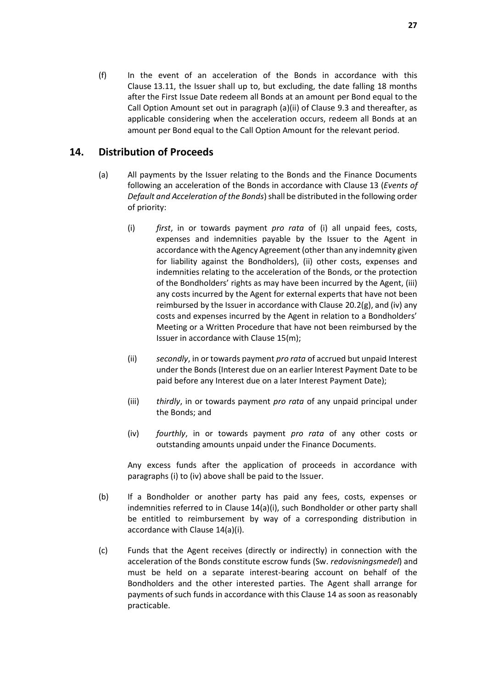(f) In the event of an acceleration of the Bonds in accordance with this Clause [13.11,](#page-28-1) the Issuer shall up to, but excluding, the date falling 18 months after the First Issue Date redeem all Bonds at an amount per Bond equal to the Call Option Amount set out in paragraph [\(a\)](#page-18-6)[\(ii\)](#page-19-3) of Clause [9.3](#page-18-2) and thereafter, as applicable considering when the acceleration occurs, redeem all Bonds at an amount per Bond equal to the Call Option Amount for the relevant period.

# <span id="page-29-0"></span>**14. Distribution of Proceeds**

- <span id="page-29-1"></span>(a) All payments by the Issuer relating to the Bonds and the Finance Documents following an acceleration of the Bonds in accordance with Clause [13](#page-26-0) (*[Events of](#page-26-0)  [Default and Acceleration of the Bonds](#page-26-0)*) shall be distributed in the following order of priority:
	- (i) *first*, in or towards payment *pro rata* of (i) all unpaid fees, costs, expenses and indemnities payable by the Issuer to the Agent in accordance with the Agency Agreement (other than any indemnity given for liability against the Bondholders), (ii) other costs, expenses and indemnities relating to the acceleration of the Bonds, or the protection of the Bondholders' rights as may have been incurred by the Agent, (iii) any costs incurred by the Agent for external experts that have not been reimbursed by the Issuer in accordance with Clause [20.2\(g\),](#page-40-0) and (iv) any costs and expenses incurred by the Agent in relation to a Bondholders' Meeting or a Written Procedure that have not been reimbursed by the Issuer in accordance with Clause [15\(m\);](#page-32-0)
	- (ii) *secondly*, in or towards payment *pro rata* of accrued but unpaid Interest under the Bonds (Interest due on an earlier Interest Payment Date to be paid before any Interest due on a later Interest Payment Date);
	- (iii) *thirdly*, in or towards payment *pro rata* of any unpaid principal under the Bonds; and
	- (iv) *fourthly*, in or towards payment *pro rata* of any other costs or outstanding amounts unpaid under the Finance Documents.

<span id="page-29-2"></span>Any excess funds after the application of proceeds in accordance with paragraph[s \(i\)](#page-29-1) to [\(iv\)](#page-29-2) above shall be paid to the Issuer.

- (b) If a Bondholder or another party has paid any fees, costs, expenses or indemnities referred to in Clause [14\(a\)\(i\),](#page-29-1) such Bondholder or other party shall be entitled to reimbursement by way of a corresponding distribution in accordance with Claus[e 14\(a\)\(i\).](#page-29-1)
- (c) Funds that the Agent receives (directly or indirectly) in connection with the acceleration of the Bonds constitute escrow funds (Sw. *redovisningsmedel*) and must be held on a separate interest-bearing account on behalf of the Bondholders and the other interested parties. The Agent shall arrange for payments of such funds in accordance with this Clause [14](#page-29-0) as soon as reasonably practicable.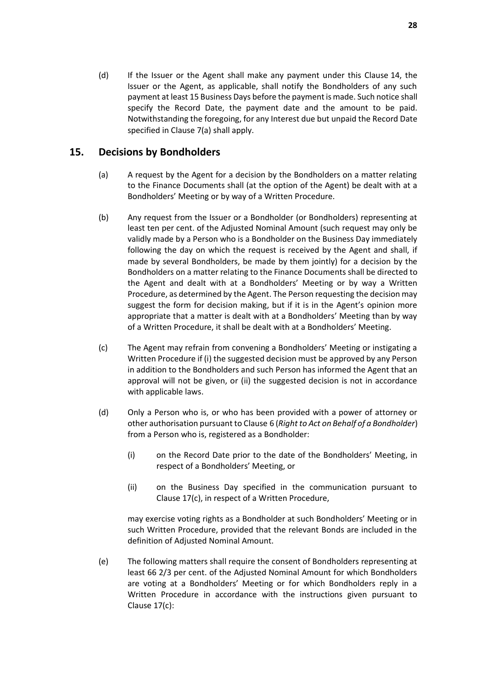(d) If the Issuer or the Agent shall make any payment under this Clause [14,](#page-29-0) the Issuer or the Agent, as applicable, shall notify the Bondholders of any such payment at least 15 Business Days before the payment is made. Such notice shall specify the Record Date, the payment date and the amount to be paid. Notwithstanding the foregoing, for any Interest due but unpaid the Record Date specified in Clause [7\(a\)](#page-17-3) shall apply.

# <span id="page-30-0"></span>**15. Decisions by Bondholders**

- (a) A request by the Agent for a decision by the Bondholders on a matter relating to the Finance Documents shall (at the option of the Agent) be dealt with at a Bondholders' Meeting or by way of a Written Procedure.
- (b) Any request from the Issuer or a Bondholder (or Bondholders) representing at least ten per cent. of the Adjusted Nominal Amount (such request may only be validly made by a Person who is a Bondholder on the Business Day immediately following the day on which the request is received by the Agent and shall, if made by several Bondholders, be made by them jointly) for a decision by the Bondholders on a matter relating to the Finance Documents shall be directed to the Agent and dealt with at a Bondholders' Meeting or by way a Written Procedure, as determined by the Agent. The Person requesting the decision may suggest the form for decision making, but if it is in the Agent's opinion more appropriate that a matter is dealt with at a Bondholders' Meeting than by way of a Written Procedure, it shall be dealt with at a Bondholders' Meeting.
- (c) The Agent may refrain from convening a Bondholders' Meeting or instigating a Written Procedure if (i) the suggested decision must be approved by any Person in addition to the Bondholders and such Person has informed the Agent that an approval will not be given, or (ii) the suggested decision is not in accordance with applicable laws.
- (d) Only a Person who is, or who has been provided with a power of attorney or other authorisation pursuant to Clause [6](#page-17-0) (*[Right to Act on Behalf of a Bondholder](#page-17-0)*) from a Person who is, registered as a Bondholder:
	- (i) on the Record Date prior to the date of the Bondholders' Meeting, in respect of a Bondholders' Meeting, or
	- (ii) on the Business Day specified in the communication pursuant to Clause [17\(c\),](#page-34-1) in respect of a Written Procedure,

may exercise voting rights as a Bondholder at such Bondholders' Meeting or in such Written Procedure, provided that the relevant Bonds are included in the definition of Adjusted Nominal Amount.

<span id="page-30-1"></span>(e) The following matters shall require the consent of Bondholders representing at least 66 2/3 per cent. of the Adjusted Nominal Amount for which Bondholders are voting at a Bondholders' Meeting or for which Bondholders reply in a Written Procedure in accordance with the instructions given pursuant to Clause [17\(c\):](#page-34-1)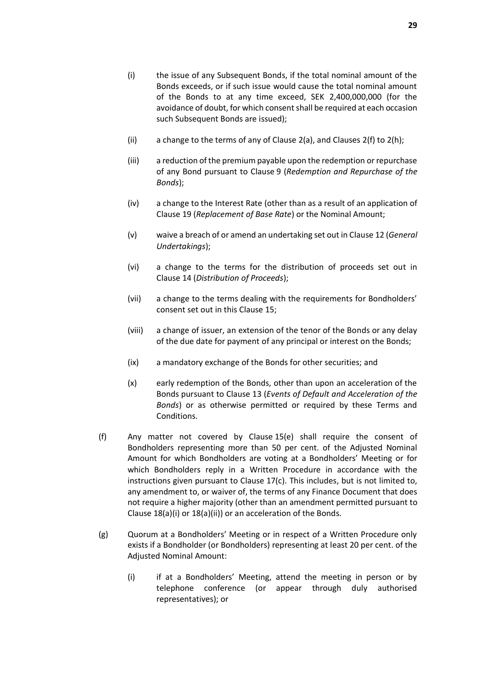- <span id="page-31-0"></span>(i) the issue of any Subsequent Bonds, if the total nominal amount of the Bonds exceeds, or if such issue would cause the total nominal amount of the Bonds to at any time exceed, SEK 2,400,000,000 (for the avoidance of doubt, for which consent shall be required at each occasion such Subsequent Bonds are issued);
- (ii) a change to the terms of any of Clause  $2(a)$ , and Clauses  $2(f)$  to  $2(h)$ ;
- (iii) a reduction of the premium payable upon the redemption or repurchase of any Bond pursuant to Clause [9](#page-18-1) (*[Redemption and Repurchase of the](#page-18-1)  [Bonds](#page-18-1)*);
- (iv) a change to the Interest Rate (other than as a result of an application of Clause [19](#page-35-0) (*[Replacement of Base Rate](#page-35-0)*) or the Nominal Amount;
- (v) waive a breach of or amend an undertaking set out in Clause [12](#page-24-0) (*[General](#page-24-0)  [Undertakings](#page-24-0)*);
- (vi) a change to the terms for the distribution of proceeds set out in Clause [14](#page-29-0) (*[Distribution of Proceeds](#page-29-0)*);
- (vii) a change to the terms dealing with the requirements for Bondholders' consent set out in this Clause [15;](#page-30-0)
- (viii) a change of issuer, an extension of the tenor of the Bonds or any delay of the due date for payment of any principal or interest on the Bonds;
- (ix) a mandatory exchange of the Bonds for other securities; and
- (x) early redemption of the Bonds, other than upon an acceleration of the Bonds pursuant to Clause [13](#page-26-0) (*[Events of Default and Acceleration of the](#page-26-0)  [Bonds](#page-26-0)*) or as otherwise permitted or required by these Terms and Conditions.
- <span id="page-31-2"></span>(f) Any matter not covered by Clause [15\(e\)](#page-30-1) shall require the consent of Bondholders representing more than 50 per cent. of the Adjusted Nominal Amount for which Bondholders are voting at a Bondholders' Meeting or for which Bondholders reply in a Written Procedure in accordance with the instructions given pursuant to Clause [17\(c\).](#page-34-1) This includes, but is not limited to, any amendment to, or waiver of, the terms of any Finance Document that does not require a higher majority (other than an amendment permitted pursuant to Clause [18\(a\)\(i\)](#page-34-2) or [18\(a\)\(ii\)\)](#page-34-3) or an acceleration of the Bonds.
- <span id="page-31-1"></span>(g) Quorum at a Bondholders' Meeting or in respect of a Written Procedure only exists if a Bondholder (or Bondholders) representing at least 20 per cent. of the Adjusted Nominal Amount:
	- (i) if at a Bondholders' Meeting, attend the meeting in person or by telephone conference (or appear through duly authorised representatives); or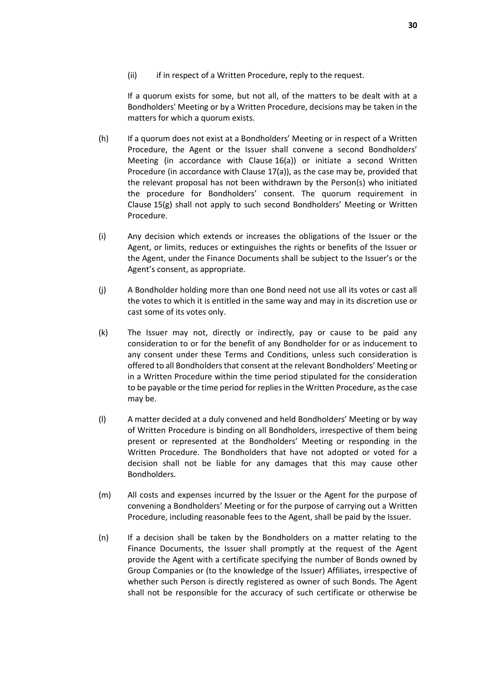(ii) if in respect of a Written Procedure, reply to the request.

If a quorum exists for some, but not all, of the matters to be dealt with at a Bondholders' Meeting or by a Written Procedure, decisions may be taken in the matters for which a quorum exists.

- (h) If a quorum does not exist at a Bondholders' Meeting or in respect of a Written Procedure, the Agent or the Issuer shall convene a second Bondholders' Meeting (in accordance with Clause [16\(a\)\)](#page-33-2) or initiate a second Written Procedure (in accordance with Clause [17\(a\)\)](#page-33-3), as the case may be, provided that the relevant proposal has not been withdrawn by the Person(s) who initiated the procedure for Bondholders' consent. The quorum requirement in Clause [15\(g\)](#page-31-1) shall not apply to such second Bondholders' Meeting or Written Procedure.
- (i) Any decision which extends or increases the obligations of the Issuer or the Agent, or limits, reduces or extinguishes the rights or benefits of the Issuer or the Agent, under the Finance Documents shall be subject to the Issuer's or the Agent's consent, as appropriate.
- (j) A Bondholder holding more than one Bond need not use all its votes or cast all the votes to which it is entitled in the same way and may in its discretion use or cast some of its votes only.
- (k) The Issuer may not, directly or indirectly, pay or cause to be paid any consideration to or for the benefit of any Bondholder for or as inducement to any consent under these Terms and Conditions, unless such consideration is offered to all Bondholders that consent at the relevant Bondholders' Meeting or in a Written Procedure within the time period stipulated for the consideration to be payable or the time period for replies in the Written Procedure, as the case may be.
- (l) A matter decided at a duly convened and held Bondholders' Meeting or by way of Written Procedure is binding on all Bondholders, irrespective of them being present or represented at the Bondholders' Meeting or responding in the Written Procedure. The Bondholders that have not adopted or voted for a decision shall not be liable for any damages that this may cause other Bondholders.
- <span id="page-32-0"></span>(m) All costs and expenses incurred by the Issuer or the Agent for the purpose of convening a Bondholders' Meeting or for the purpose of carrying out a Written Procedure, including reasonable fees to the Agent, shall be paid by the Issuer.
- (n) If a decision shall be taken by the Bondholders on a matter relating to the Finance Documents, the Issuer shall promptly at the request of the Agent provide the Agent with a certificate specifying the number of Bonds owned by Group Companies or (to the knowledge of the Issuer) Affiliates, irrespective of whether such Person is directly registered as owner of such Bonds. The Agent shall not be responsible for the accuracy of such certificate or otherwise be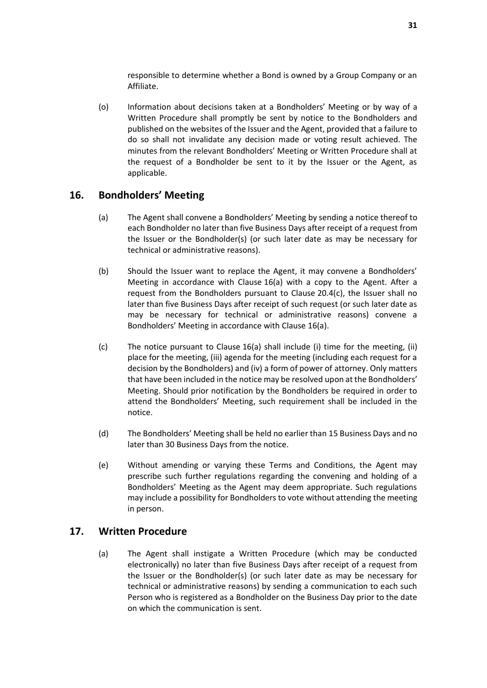responsible to determine whether a Bond is owned by a Group Company or an Affiliate.

<span id="page-33-4"></span>(o) Information about decisions taken at a Bondholders' Meeting or by way of a Written Procedure shall promptly be sent by notice to the Bondholders and published on the websites of the Issuer and the Agent, provided that a failure to do so shall not invalidate any decision made or voting result achieved. The minutes from the relevant Bondholders' Meeting or Written Procedure shall at the request of a Bondholder be sent to it by the Issuer or the Agent, as applicable.

# <span id="page-33-2"></span><span id="page-33-0"></span>**16. Bondholders' Meeting**

- (a) The Agent shall convene a Bondholders' Meeting by sending a notice thereof to each Bondholder no later than five Business Days after receipt of a request from the Issuer or the Bondholder(s) (or such later date as may be necessary for technical or administrative reasons).
- (b) Should the Issuer want to replace the Agent, it may convene a Bondholders' Meeting in accordance with Clause [16\(a\)](#page-33-2) with a copy to the Agent. After a request from the Bondholders pursuant to Clause [20.4\(c\),](#page-42-0) the Issuer shall no later than five Business Days after receipt of such request (or such later date as may be necessary for technical or administrative reasons) convene a Bondholders' Meeting in accordance with Clause [16\(a\).](#page-33-2)
- (c) The notice pursuant to Clause [16\(a\)](#page-33-2) shall include (i) time for the meeting, (ii) place for the meeting, (iii) agenda for the meeting (including each request for a decision by the Bondholders) and (iv) a form of power of attorney. Only matters that have been included in the notice may be resolved upon at the Bondholders' Meeting. Should prior notification by the Bondholders be required in order to attend the Bondholders' Meeting, such requirement shall be included in the notice.
- (d) The Bondholders' Meeting shall be held no earlier than 15 Business Days and no later than 30 Business Days from the notice.
- (e) Without amending or varying these Terms and Conditions, the Agent may prescribe such further regulations regarding the convening and holding of a Bondholders' Meeting as the Agent may deem appropriate. Such regulations may include a possibility for Bondholders to vote without attending the meeting in person.

### <span id="page-33-3"></span><span id="page-33-1"></span>**17. Written Procedure**

(a) The Agent shall instigate a Written Procedure (which may be conducted electronically) no later than five Business Days after receipt of a request from the Issuer or the Bondholder(s) (or such later date as may be necessary for technical or administrative reasons) by sending a communication to each such Person who is registered as a Bondholder on the Business Day prior to the date on which the communication is sent.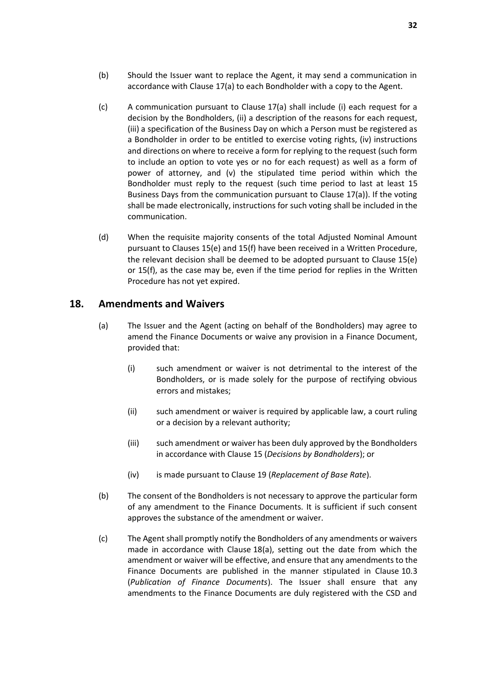- (b) Should the Issuer want to replace the Agent, it may send a communication in accordance with Clause [17\(a\)](#page-33-3) to each Bondholder with a copy to the Agent.
- <span id="page-34-1"></span>(c) A communication pursuant to Clause [17\(a\)](#page-33-3) shall include (i) each request for a decision by the Bondholders, (ii) a description of the reasons for each request, (iii) a specification of the Business Day on which a Person must be registered as a Bondholder in order to be entitled to exercise voting rights, (iv) instructions and directions on where to receive a form for replying to the request (such form to include an option to vote yes or no for each request) as well as a form of power of attorney, and (v) the stipulated time period within which the Bondholder must reply to the request (such time period to last at least 15 Business Days from the communication pursuant to Clause [17\(a\)\)](#page-33-3). If the voting shall be made electronically, instructions for such voting shall be included in the communication.
- (d) When the requisite majority consents of the total Adjusted Nominal Amount pursuant to Clauses [15\(e\)](#page-30-1) and [15\(f\)](#page-31-2) have been received in a Written Procedure, the relevant decision shall be deemed to be adopted pursuant to Clause [15\(e\)](#page-30-1) or [15\(f\),](#page-31-2) as the case may be, even if the time period for replies in the Written Procedure has not yet expired.

### <span id="page-34-4"></span><span id="page-34-0"></span>**18. Amendments and Waivers**

- <span id="page-34-3"></span><span id="page-34-2"></span>(a) The Issuer and the Agent (acting on behalf of the Bondholders) may agree to amend the Finance Documents or waive any provision in a Finance Document, provided that:
	- (i) such amendment or waiver is not detrimental to the interest of the Bondholders, or is made solely for the purpose of rectifying obvious errors and mistakes;
	- (ii) such amendment or waiver is required by applicable law, a court ruling or a decision by a relevant authority;
	- (iii) such amendment or waiver has been duly approved by the Bondholders in accordance with Clause [15](#page-30-0) (*[Decisions by Bondholders](#page-30-0)*); or
	- (iv) is made pursuant to Clause [19](#page-35-0) (*[Replacement of Base Rate](#page-35-0)*).
- (b) The consent of the Bondholders is not necessary to approve the particular form of any amendment to the Finance Documents. It is sufficient if such consent approves the substance of the amendment or waiver.
- <span id="page-34-5"></span>(c) The Agent shall promptly notify the Bondholders of any amendments or waivers made in accordance with Clause [18\(a\),](#page-34-4) setting out the date from which the amendment or waiver will be effective, and ensure that any amendments to the Finance Documents are published in the manner stipulated in Clause [10.3](#page-22-3) (*[Publication of Finance Documents](#page-22-3)*). The Issuer shall ensure that any amendments to the Finance Documents are duly registered with the CSD and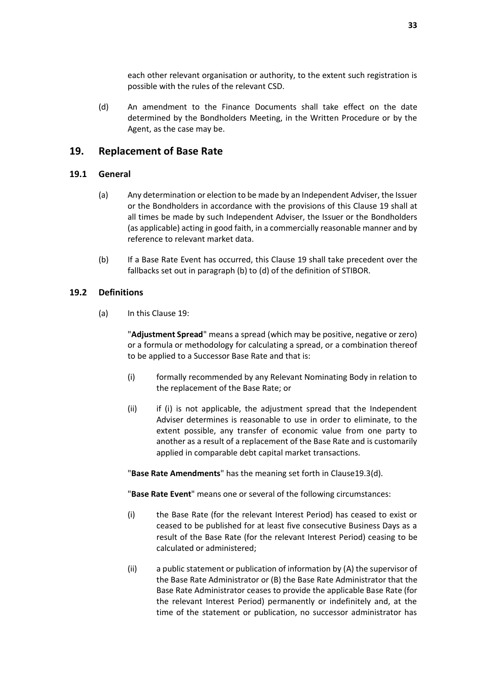each other relevant organisation or authority, to the extent such registration is possible with the rules of the relevant CSD.

(d) An amendment to the Finance Documents shall take effect on the date determined by the Bondholders Meeting, in the Written Procedure or by the Agent, as the case may be.

### <span id="page-35-0"></span>**19. Replacement of Base Rate**

#### **19.1 General**

- (a) Any determination or election to be made by an Independent Adviser, the Issuer or the Bondholders in accordance with the provisions of this Clause [19](#page-35-0) shall at all times be made by such Independent Adviser, the Issuer or the Bondholders (as applicable) acting in good faith, in a commercially reasonable manner and by reference to relevant market data.
- (b) If a Base Rate Event has occurred, this Clause [19](#page-35-0) shall take precedent over the fallbacks set out in paragraph (b) to (d) of the definition of STIBOR.

#### **19.2 Definitions**

(a) In this Claus[e 19:](#page-35-0)

"**Adjustment Spread**" means a spread (which may be positive, negative or zero) or a formula or methodology for calculating a spread, or a combination thereof to be applied to a Successor Base Rate and that is:

- (i) formally recommended by any Relevant Nominating Body in relation to the replacement of the Base Rate; or
- (ii) if (i) is not applicable, the adjustment spread that the Independent Adviser determines is reasonable to use in order to eliminate, to the extent possible, any transfer of economic value from one party to another as a result of a replacement of the Base Rate and is customarily applied in comparable debt capital market transactions.

"**Base Rate Amendments**" has the meaning set forth in Claus[e19.3\(d\).](#page-37-0)

"**Base Rate Event**" means one or several of the following circumstances:

- (i) the Base Rate (for the relevant Interest Period) has ceased to exist or ceased to be published for at least five consecutive Business Days as a result of the Base Rate (for the relevant Interest Period) ceasing to be calculated or administered;
- (ii) a public statement or publication of information by (A) the supervisor of the Base Rate Administrator or (B) the Base Rate Administrator that the Base Rate Administrator ceases to provide the applicable Base Rate (for the relevant Interest Period) permanently or indefinitely and, at the time of the statement or publication, no successor administrator has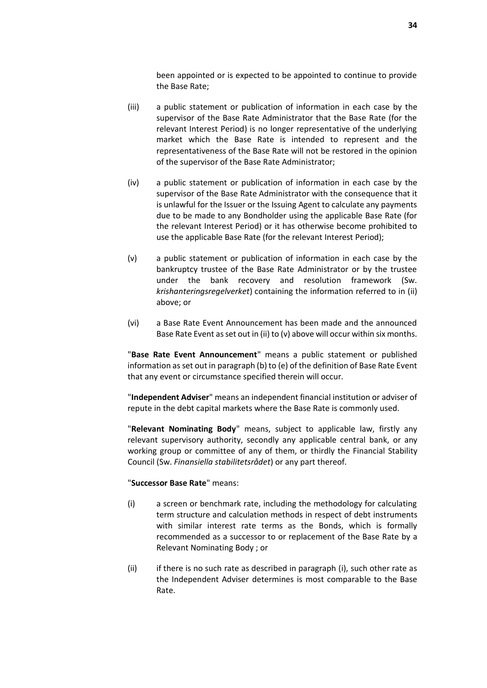been appointed or is expected to be appointed to continue to provide the Base Rate;

- (iii) a public statement or publication of information in each case by the supervisor of the Base Rate Administrator that the Base Rate (for the relevant Interest Period) is no longer representative of the underlying market which the Base Rate is intended to represent and the representativeness of the Base Rate will not be restored in the opinion of the supervisor of the Base Rate Administrator;
- (iv) a public statement or publication of information in each case by the supervisor of the Base Rate Administrator with the consequence that it is unlawful for the Issuer or the Issuing Agent to calculate any payments due to be made to any Bondholder using the applicable Base Rate (for the relevant Interest Period) or it has otherwise become prohibited to use the applicable Base Rate (for the relevant Interest Period);
- (v) a public statement or publication of information in each case by the bankruptcy trustee of the Base Rate Administrator or by the trustee under the bank recovery and resolution framework (Sw. *krishanteringsregelverket*) containing the information referred to in (ii) above; or
- (vi) a Base Rate Event Announcement has been made and the announced Base Rate Event as set out in (ii) to (v) above will occur within six months.

"**Base Rate Event Announcement**" means a public statement or published information as set out in paragraph (b) to (e) of the definition of Base Rate Event that any event or circumstance specified therein will occur.

"**Independent Adviser**" means an independent financial institution or adviser of repute in the debt capital markets where the Base Rate is commonly used.

"**Relevant Nominating Body**" means, subject to applicable law, firstly any relevant supervisory authority, secondly any applicable central bank, or any working group or committee of any of them, or thirdly the Financial Stability Council (Sw. *Finansiella stabilitetsrådet*) or any part thereof.

#### "**Successor Base Rate**" means:

- (i) a screen or benchmark rate, including the methodology for calculating term structure and calculation methods in respect of debt instruments with similar interest rate terms as the Bonds, which is formally recommended as a successor to or replacement of the Base Rate by a Relevant Nominating Body ; or
- (ii) if there is no such rate as described in paragraph (i), such other rate as the Independent Adviser determines is most comparable to the Base Rate.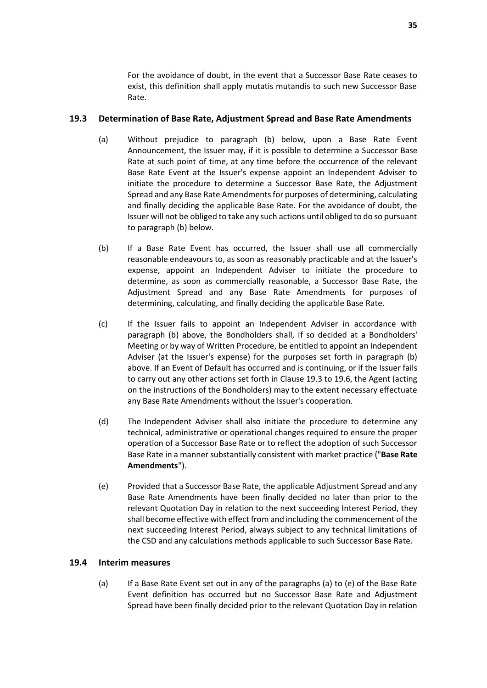For the avoidance of doubt, in the event that a Successor Base Rate ceases to exist, this definition shall apply mutatis mutandis to such new Successor Base Rate.

### <span id="page-37-2"></span>**19.3 Determination of Base Rate, Adjustment Spread and Base Rate Amendments**

- (a) Without prejudice to paragraph [\(b\)](#page-37-1) below, upon a Base Rate Event Announcement, the Issuer may, if it is possible to determine a Successor Base Rate at such point of time, at any time before the occurrence of the relevant Base Rate Event at the Issuer's expense appoint an Independent Adviser to initiate the procedure to determine a Successor Base Rate, the Adjustment Spread and any Base Rate Amendments for purposes of determining, calculating and finally deciding the applicable Base Rate. For the avoidance of doubt, the Issuer will not be obliged to take any such actions until obliged to do so pursuant to paragraph [\(b\)](#page-37-1) below.
- <span id="page-37-1"></span>(b) If a Base Rate Event has occurred, the Issuer shall use all commercially reasonable endeavours to, as soon as reasonably practicable and at the Issuer's expense, appoint an Independent Adviser to initiate the procedure to determine, as soon as commercially reasonable, a Successor Base Rate, the Adjustment Spread and any Base Rate Amendments for purposes of determining, calculating, and finally deciding the applicable Base Rate.
- <span id="page-37-4"></span>(c) If the Issuer fails to appoint an Independent Adviser in accordance with paragraph [\(b\)](#page-37-1) above, the Bondholders shall, if so decided at a Bondholders' Meeting or by way of Written Procedure, be entitled to appoint an Independent Adviser (at the Issuer's expense) for the purposes set forth in paragraph [\(b\)](#page-37-1) above. If an Event of Default has occurred and is continuing, or if the Issuer fails to carry out any other actions set forth in Clause [19.3](#page-37-2) t[o 19.6,](#page-38-0) the Agent (acting on the instructions of the Bondholders) may to the extent necessary effectuate any Base Rate Amendments without the Issuer's cooperation.
- <span id="page-37-0"></span>(d) The Independent Adviser shall also initiate the procedure to determine any technical, administrative or operational changes required to ensure the proper operation of a Successor Base Rate or to reflect the adoption of such Successor Base Rate in a manner substantially consistent with market practice ("**Base Rate Amendments**").
- (e) Provided that a Successor Base Rate, the applicable Adjustment Spread and any Base Rate Amendments have been finally decided no later than prior to the relevant Quotation Day in relation to the next succeeding Interest Period, they shall become effective with effect from and including the commencement of the next succeeding Interest Period, always subject to any technical limitations of the CSD and any calculations methods applicable to such Successor Base Rate.

### <span id="page-37-3"></span>**19.4 Interim measures**

(a) If a Base Rate Event set out in any of the paragraphs (a) to (e) of the Base Rate Event definition has occurred but no Successor Base Rate and Adjustment Spread have been finally decided prior to the relevant Quotation Day in relation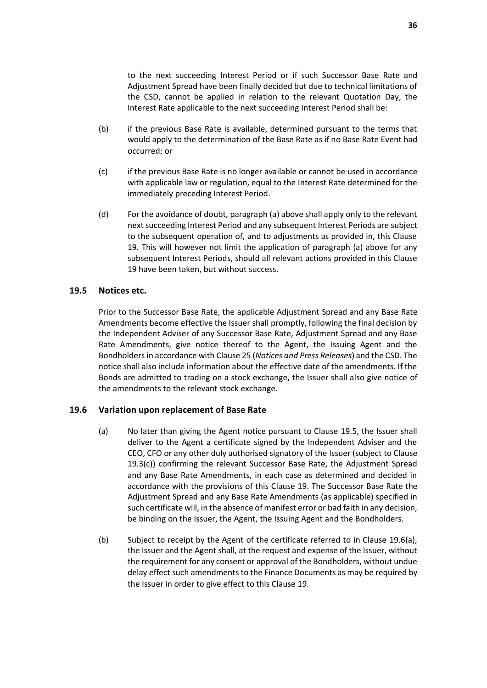to the next succeeding Interest Period or if such Successor Base Rate and Adjustment Spread have been finally decided but due to technical limitations of the CSD, cannot be applied in relation to the relevant Quotation Day, the Interest Rate applicable to the next succeeding Interest Period shall be:

- (b) if the previous Base Rate is available, determined pursuant to the terms that would apply to the determination of the Base Rate as if no Base Rate Event had occurred; or
- (c) if the previous Base Rate is no longer available or cannot be used in accordance with applicable law or regulation, equal to the Interest Rate determined for the immediately preceding Interest Period.
- (d) For the avoidance of doubt, paragrap[h \(a\)](#page-37-3) above shall apply only to the relevant next succeeding Interest Period and any subsequent Interest Periods are subject to the subsequent operation of, and to adjustments as provided in, this Clause [19.](#page-35-0) This will however not limit the application of paragraph [\(a\)](#page-37-3) above for any subsequent Interest Periods, should all relevant actions provided in this Clause [19](#page-35-0) have been taken, but without success.

#### <span id="page-38-1"></span>**19.5 Notices etc.**

Prior to the Successor Base Rate, the applicable Adjustment Spread and any Base Rate Amendments become effective the Issuer shall promptly, following the final decision by the Independent Adviser of any Successor Base Rate, Adjustment Spread and any Base Rate Amendments, give notice thereof to the Agent, the Issuing Agent and the Bondholdersin accordance with Clause [25](#page-44-1) (*[Notices and Press Releases](#page-44-1)*) and the CSD. The notice shall also include information about the effective date of the amendments. If the Bonds are admitted to trading on a stock exchange, the Issuer shall also give notice of the amendments to the relevant stock exchange.

#### <span id="page-38-2"></span><span id="page-38-0"></span>**19.6 Variation upon replacement of Base Rate**

- (a) No later than giving the Agent notice pursuant to Clause [19.5,](#page-38-1) the Issuer shall deliver to the Agent a certificate signed by the Independent Adviser and the CEO, CFO or any other duly authorised signatory of the Issuer (subject to Clause [19.3\(c\)\)](#page-37-4) confirming the relevant Successor Base Rate, the Adjustment Spread and any Base Rate Amendments, in each case as determined and decided in accordance with the provisions of this Clause [19.](#page-35-0) The Successor Base Rate the Adjustment Spread and any Base Rate Amendments (as applicable) specified in such certificate will, in the absence of manifest error or bad faith in any decision, be binding on the Issuer, the Agent, the Issuing Agent and the Bondholders.
- (b) Subject to receipt by the Agent of the certificate referred to in Clause [19.6\(a\),](#page-38-2) the Issuer and the Agent shall, at the request and expense of the Issuer, without the requirement for any consent or approval of the Bondholders, without undue delay effect such amendments to the Finance Documents as may be required by the Issuer in order to give effect to this Clause [19.](#page-35-0)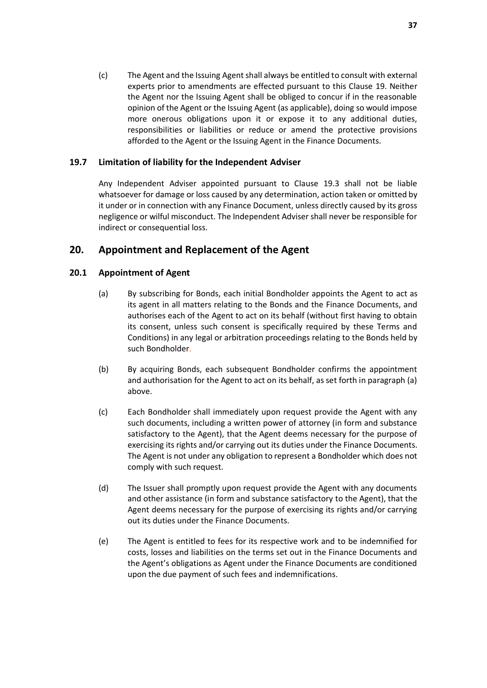(c) The Agent and the Issuing Agent shall always be entitled to consult with external experts prior to amendments are effected pursuant to this Clause [19.](#page-35-0) Neither the Agent nor the Issuing Agent shall be obliged to concur if in the reasonable opinion of the Agent or the Issuing Agent (as applicable), doing so would impose more onerous obligations upon it or expose it to any additional duties, responsibilities or liabilities or reduce or amend the protective provisions afforded to the Agent or the Issuing Agent in the Finance Documents.

### **19.7 Limitation of liability for the Independent Adviser**

Any Independent Adviser appointed pursuant to Clause [19.3](#page-37-2) shall not be liable whatsoever for damage or loss caused by any determination, action taken or omitted by it under or in connection with any Finance Document, unless directly caused by its gross negligence or wilful misconduct. The Independent Adviser shall never be responsible for indirect or consequential loss.

# <span id="page-39-0"></span>**20. Appointment and Replacement of the Agent**

### **20.1 Appointment of Agent**

- (a) By subscribing for Bonds, each initial Bondholder appoints the Agent to act as its agent in all matters relating to the Bonds and the Finance Documents, and authorises each of the Agent to act on its behalf (without first having to obtain its consent, unless such consent is specifically required by these Terms and Conditions) in any legal or arbitration proceedings relating to the Bonds held by such Bondholder.
- (b) By acquiring Bonds, each subsequent Bondholder confirms the appointment and authorisation for the Agent to act on its behalf, as set forth in paragraph (a) above.
- <span id="page-39-1"></span>(c) Each Bondholder shall immediately upon request provide the Agent with any such documents, including a written power of attorney (in form and substance satisfactory to the Agent), that the Agent deems necessary for the purpose of exercising its rights and/or carrying out its duties under the Finance Documents. The Agent is not under any obligation to represent a Bondholder which does not comply with such request.
- (d) The Issuer shall promptly upon request provide the Agent with any documents and other assistance (in form and substance satisfactory to the Agent), that the Agent deems necessary for the purpose of exercising its rights and/or carrying out its duties under the Finance Documents.
- (e) The Agent is entitled to fees for its respective work and to be indemnified for costs, losses and liabilities on the terms set out in the Finance Documents and the Agent's obligations as Agent under the Finance Documents are conditioned upon the due payment of such fees and indemnifications.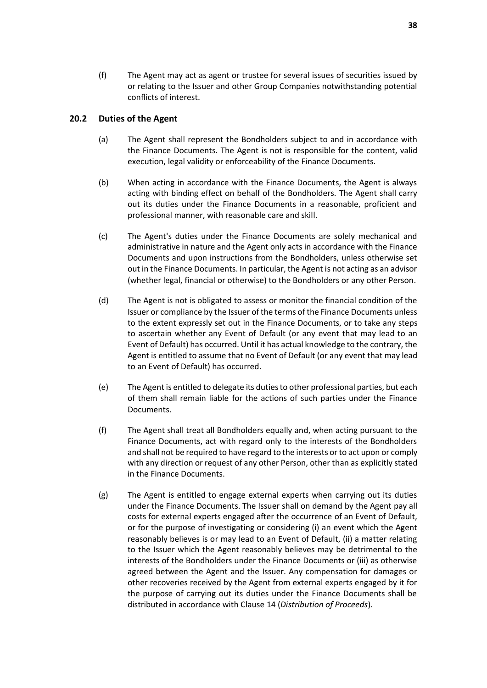(f) The Agent may act as agent or trustee for several issues of securities issued by or relating to the Issuer and other Group Companies notwithstanding potential conflicts of interest.

#### **20.2 Duties of the Agent**

- (a) The Agent shall represent the Bondholders subject to and in accordance with the Finance Documents. The Agent is not is responsible for the content, valid execution, legal validity or enforceability of the Finance Documents.
- (b) When acting in accordance with the Finance Documents, the Agent is always acting with binding effect on behalf of the Bondholders. The Agent shall carry out its duties under the Finance Documents in a reasonable, proficient and professional manner, with reasonable care and skill.
- (c) The Agent's duties under the Finance Documents are solely mechanical and administrative in nature and the Agent only acts in accordance with the Finance Documents and upon instructions from the Bondholders, unless otherwise set out in the Finance Documents. In particular, the Agent is not acting as an advisor (whether legal, financial or otherwise) to the Bondholders or any other Person.
- (d) The Agent is not is obligated to assess or monitor the financial condition of the Issuer or compliance by the Issuer of the terms of the Finance Documents unless to the extent expressly set out in the Finance Documents, or to take any steps to ascertain whether any Event of Default (or any event that may lead to an Event of Default) has occurred. Until it has actual knowledge to the contrary, the Agent is entitled to assume that no Event of Default (or any event that may lead to an Event of Default) has occurred.
- (e) The Agent is entitled to delegate its duties to other professional parties, but each of them shall remain liable for the actions of such parties under the Finance Documents.
- (f) The Agent shall treat all Bondholders equally and, when acting pursuant to the Finance Documents, act with regard only to the interests of the Bondholders and shall not be required to have regard to the interests or to act upon or comply with any direction or request of any other Person, other than as explicitly stated in the Finance Documents.
- <span id="page-40-0"></span>(g) The Agent is entitled to engage external experts when carrying out its duties under the Finance Documents. The Issuer shall on demand by the Agent pay all costs for external experts engaged after the occurrence of an Event of Default, or for the purpose of investigating or considering (i) an event which the Agent reasonably believes is or may lead to an Event of Default, (ii) a matter relating to the Issuer which the Agent reasonably believes may be detrimental to the interests of the Bondholders under the Finance Documents or (iii) as otherwise agreed between the Agent and the Issuer. Any compensation for damages or other recoveries received by the Agent from external experts engaged by it for the purpose of carrying out its duties under the Finance Documents shall be distributed in accordance with Clause [14](#page-29-0) (*[Distribution of Proceeds](#page-29-0)*).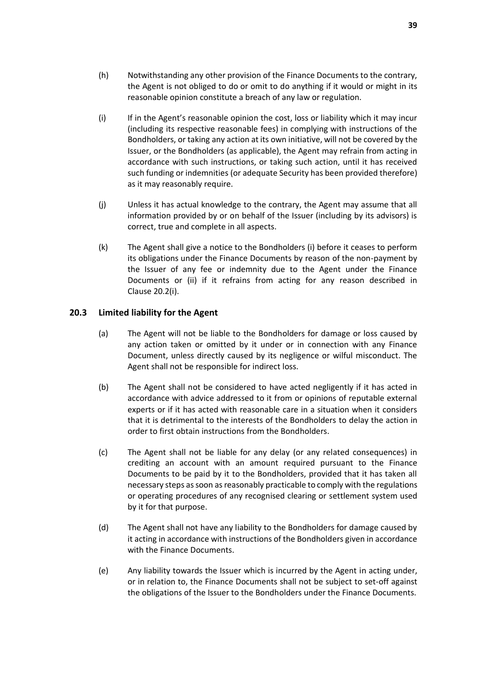- <span id="page-41-0"></span>(i) If in the Agent's reasonable opinion the cost, loss or liability which it may incur (including its respective reasonable fees) in complying with instructions of the Bondholders, or taking any action at its own initiative, will not be covered by the Issuer, or the Bondholders (as applicable), the Agent may refrain from acting in accordance with such instructions, or taking such action, until it has received such funding or indemnities (or adequate Security has been provided therefore) as it may reasonably require.
- (j) Unless it has actual knowledge to the contrary, the Agent may assume that all information provided by or on behalf of the Issuer (including by its advisors) is correct, true and complete in all aspects.
- <span id="page-41-1"></span>(k) The Agent shall give a notice to the Bondholders (i) before it ceases to perform its obligations under the Finance Documents by reason of the non-payment by the Issuer of any fee or indemnity due to the Agent under the Finance Documents or (ii) if it refrains from acting for any reason described in Clause [20.2\(i\).](#page-41-0)

### **20.3 Limited liability for the Agent**

- (a) The Agent will not be liable to the Bondholders for damage or loss caused by any action taken or omitted by it under or in connection with any Finance Document, unless directly caused by its negligence or wilful misconduct. The Agent shall not be responsible for indirect loss.
- (b) The Agent shall not be considered to have acted negligently if it has acted in accordance with advice addressed to it from or opinions of reputable external experts or if it has acted with reasonable care in a situation when it considers that it is detrimental to the interests of the Bondholders to delay the action in order to first obtain instructions from the Bondholders.
- (c) The Agent shall not be liable for any delay (or any related consequences) in crediting an account with an amount required pursuant to the Finance Documents to be paid by it to the Bondholders, provided that it has taken all necessary steps as soon as reasonably practicable to comply with the regulations or operating procedures of any recognised clearing or settlement system used by it for that purpose.
- (d) The Agent shall not have any liability to the Bondholders for damage caused by it acting in accordance with instructions of the Bondholders given in accordance with the Finance Documents.
- (e) Any liability towards the Issuer which is incurred by the Agent in acting under, or in relation to, the Finance Documents shall not be subject to set-off against the obligations of the Issuer to the Bondholders under the Finance Documents.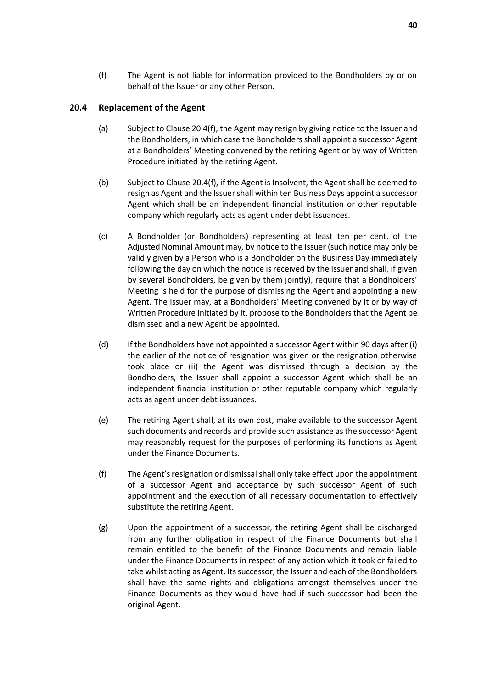(f) The Agent is not liable for information provided to the Bondholders by or on behalf of the Issuer or any other Person.

#### <span id="page-42-2"></span>**20.4 Replacement of the Agent**

- (a) Subject to Clause [20.4\(f\),](#page-42-1) the Agent may resign by giving notice to the Issuer and the Bondholders, in which case the Bondholders shall appoint a successor Agent at a Bondholders' Meeting convened by the retiring Agent or by way of Written Procedure initiated by the retiring Agent.
- (b) Subject to Clause [20.4\(f\),](#page-42-1) if the Agent is Insolvent, the Agent shall be deemed to resign as Agent and the Issuer shall within ten Business Days appoint a successor Agent which shall be an independent financial institution or other reputable company which regularly acts as agent under debt issuances.
- <span id="page-42-0"></span>(c) A Bondholder (or Bondholders) representing at least ten per cent. of the Adjusted Nominal Amount may, by notice to the Issuer (such notice may only be validly given by a Person who is a Bondholder on the Business Day immediately following the day on which the notice is received by the Issuer and shall, if given by several Bondholders, be given by them jointly), require that a Bondholders' Meeting is held for the purpose of dismissing the Agent and appointing a new Agent. The Issuer may, at a Bondholders' Meeting convened by it or by way of Written Procedure initiated by it, propose to the Bondholders that the Agent be dismissed and a new Agent be appointed.
- (d) If the Bondholders have not appointed a successor Agent within 90 days after (i) the earlier of the notice of resignation was given or the resignation otherwise took place or (ii) the Agent was dismissed through a decision by the Bondholders, the Issuer shall appoint a successor Agent which shall be an independent financial institution or other reputable company which regularly acts as agent under debt issuances.
- (e) The retiring Agent shall, at its own cost, make available to the successor Agent such documents and records and provide such assistance as the successor Agent may reasonably request for the purposes of performing its functions as Agent under the Finance Documents.
- <span id="page-42-1"></span>(f) The Agent's resignation or dismissal shall only take effect upon the appointment of a successor Agent and acceptance by such successor Agent of such appointment and the execution of all necessary documentation to effectively substitute the retiring Agent.
- (g) Upon the appointment of a successor, the retiring Agent shall be discharged from any further obligation in respect of the Finance Documents but shall remain entitled to the benefit of the Finance Documents and remain liable under the Finance Documents in respect of any action which it took or failed to take whilst acting as Agent. Its successor, the Issuer and each of the Bondholders shall have the same rights and obligations amongst themselves under the Finance Documents as they would have had if such successor had been the original Agent.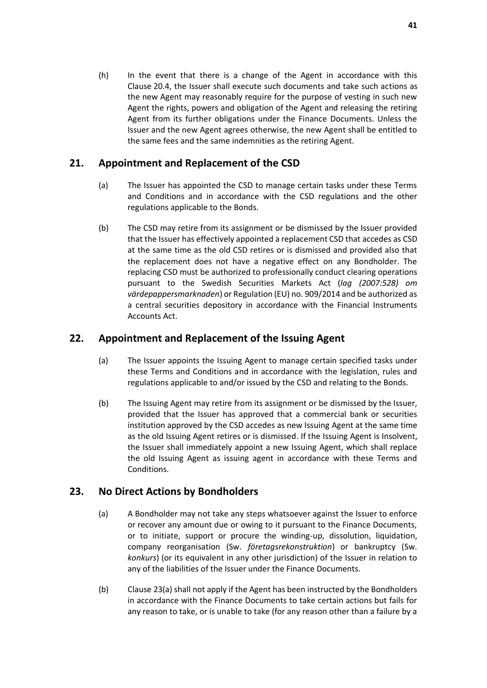(h) In the event that there is a change of the Agent in accordance with this Clause [20.4,](#page-42-2) the Issuer shall execute such documents and take such actions as the new Agent may reasonably require for the purpose of vesting in such new Agent the rights, powers and obligation of the Agent and releasing the retiring Agent from its further obligations under the Finance Documents. Unless the Issuer and the new Agent agrees otherwise, the new Agent shall be entitled to the same fees and the same indemnities as the retiring Agent.

# <span id="page-43-0"></span>**21. Appointment and Replacement of the CSD**

- (a) The Issuer has appointed the CSD to manage certain tasks under these Terms and Conditions and in accordance with the CSD regulations and the other regulations applicable to the Bonds.
- (b) The CSD may retire from its assignment or be dismissed by the Issuer provided that the Issuer has effectively appointed a replacement CSD that accedes as CSD at the same time as the old CSD retires or is dismissed and provided also that the replacement does not have a negative effect on any Bondholder. The replacing CSD must be authorized to professionally conduct clearing operations pursuant to the Swedish Securities Markets Act (*lag (2007:528) om värdepappersmarknaden*) or Regulation (EU) no. 909/2014 and be authorized as a central securities depository in accordance with the Financial Instruments Accounts Act.

# <span id="page-43-1"></span>**22. Appointment and Replacement of the Issuing Agent**

- (a) The Issuer appoints the Issuing Agent to manage certain specified tasks under these Terms and Conditions and in accordance with the legislation, rules and regulations applicable to and/or issued by the CSD and relating to the Bonds.
- (b) The Issuing Agent may retire from its assignment or be dismissed by the Issuer, provided that the Issuer has approved that a commercial bank or securities institution approved by the CSD accedes as new Issuing Agent at the same time as the old Issuing Agent retires or is dismissed. If the Issuing Agent is Insolvent, the Issuer shall immediately appoint a new Issuing Agent, which shall replace the old Issuing Agent as issuing agent in accordance with these Terms and Conditions.

# <span id="page-43-3"></span><span id="page-43-2"></span>**23. No Direct Actions by Bondholders**

- (a) A Bondholder may not take any steps whatsoever against the Issuer to enforce or recover any amount due or owing to it pursuant to the Finance Documents, or to initiate, support or procure the winding-up, dissolution, liquidation, company reorganisation (Sw. *företagsrekonstruktion*) or bankruptcy (Sw. *konkurs*) (or its equivalent in any other jurisdiction) of the Issuer in relation to any of the liabilities of the Issuer under the Finance Documents.
- (b) Clause [23\(a\)](#page-43-3) shall not apply if the Agent has been instructed by the Bondholders in accordance with the Finance Documents to take certain actions but fails for any reason to take, or is unable to take (for any reason other than a failure by a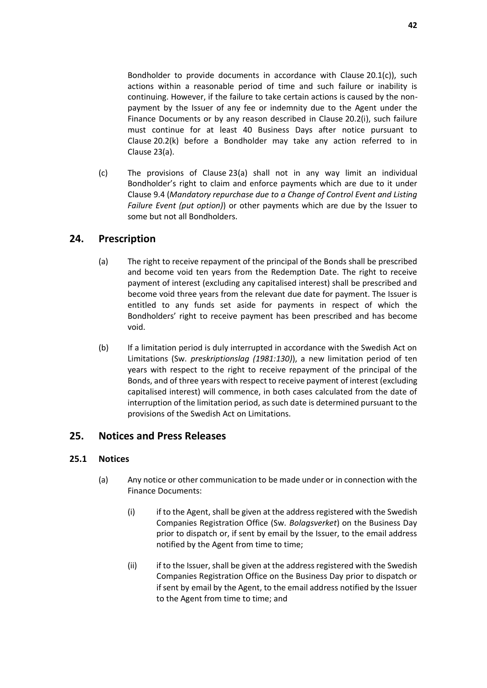Bondholder to provide documents in accordance with Clause [20.1\(c\)\)](#page-39-1), such actions within a reasonable period of time and such failure or inability is continuing. However, if the failure to take certain actions is caused by the nonpayment by the Issuer of any fee or indemnity due to the Agent under the Finance Documents or by any reason described in Clause [20.2\(i\),](#page-41-0) such failure must continue for at least 40 Business Days after notice pursuant to Clause [20.2\(k\)](#page-41-1) before a Bondholder may take any action referred to in Clause [23\(a\).](#page-43-3)

(c) The provisions of Clause [23\(a\)](#page-43-3) shall not in any way limit an individual Bondholder's right to claim and enforce payments which are due to it under Clause [9.4](#page-19-2) (*[Mandatory repurchase due to a Change of Control Event and Listing](#page-19-2)  [Failure Event \(put option\)](#page-19-2)*) or other payments which are due by the Issuer to some but not all Bondholders.

# <span id="page-44-0"></span>**24. Prescription**

- (a) The right to receive repayment of the principal of the Bonds shall be prescribed and become void ten years from the Redemption Date. The right to receive payment of interest (excluding any capitalised interest) shall be prescribed and become void three years from the relevant due date for payment. The Issuer is entitled to any funds set aside for payments in respect of which the Bondholders' right to receive payment has been prescribed and has become void.
- (b) If a limitation period is duly interrupted in accordance with the Swedish Act on Limitations (Sw. *preskriptionslag (1981:130)*), a new limitation period of ten years with respect to the right to receive repayment of the principal of the Bonds, and of three years with respect to receive payment of interest (excluding capitalised interest) will commence, in both cases calculated from the date of interruption of the limitation period, as such date is determined pursuant to the provisions of the Swedish Act on Limitations.

### <span id="page-44-1"></span>**25. Notices and Press Releases**

### <span id="page-44-2"></span>**25.1 Notices**

- (a) Any notice or other communication to be made under or in connection with the Finance Documents:
	- (i) if to the Agent, shall be given at the address registered with the Swedish Companies Registration Office (Sw. *Bolagsverket*) on the Business Day prior to dispatch or, if sent by email by the Issuer, to the email address notified by the Agent from time to time;
	- (ii) if to the Issuer, shall be given at the address registered with the Swedish Companies Registration Office on the Business Day prior to dispatch or if sent by email by the Agent, to the email address notified by the Issuer to the Agent from time to time; and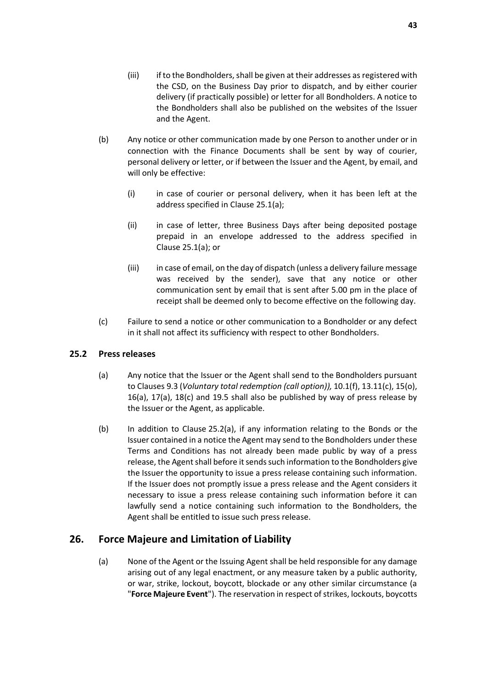- (b) Any notice or other communication made by one Person to another under or in connection with the Finance Documents shall be sent by way of courier, personal delivery or letter, or if between the Issuer and the Agent, by email, and will only be effective:
	- (i) in case of courier or personal delivery, when it has been left at the address specified in Clause [25.1\(a\);](#page-44-2)
	- (ii) in case of letter, three Business Days after being deposited postage prepaid in an envelope addressed to the address specified in Clause [25.1\(a\);](#page-44-2) or
	- (iii) in case of email, on the day of dispatch (unless a delivery failure message was received by the sender), save that any notice or other communication sent by email that is sent after 5.00 pm in the place of receipt shall be deemed only to become effective on the following day.
- (c) Failure to send a notice or other communication to a Bondholder or any defect in it shall not affect its sufficiency with respect to other Bondholders.

### <span id="page-45-2"></span>**25.2 Press releases**

- (a) Any notice that the Issuer or the Agent shall send to the Bondholders pursuant to Clauses [9.3](#page-18-2) (*[Voluntary total redemption \(call option\)\)](#page-18-2),* [10.1\(f\),](#page-21-0) [13.11\(c\),](#page-28-4) [15\(o\),](#page-33-4) [16\(a\),](#page-33-2) [17\(a\),](#page-33-3) [18\(c\)](#page-34-5) and [19.5](#page-38-1) shall also be published by way of press release by the Issuer or the Agent, as applicable.
- (b) In addition to Clause [25.2\(a\),](#page-45-2) if any information relating to the Bonds or the Issuer contained in a notice the Agent may send to the Bondholders under these Terms and Conditions has not already been made public by way of a press release, the Agent shall before it sends such information to the Bondholders give the Issuer the opportunity to issue a press release containing such information. If the Issuer does not promptly issue a press release and the Agent considers it necessary to issue a press release containing such information before it can lawfully send a notice containing such information to the Bondholders, the Agent shall be entitled to issue such press release.

# <span id="page-45-1"></span><span id="page-45-0"></span>**26. Force Majeure and Limitation of Liability**

(a) None of the Agent or the Issuing Agent shall be held responsible for any damage arising out of any legal enactment, or any measure taken by a public authority, or war, strike, lockout, boycott, blockade or any other similar circumstance (a "**Force Majeure Event**"). The reservation in respect of strikes, lockouts, boycotts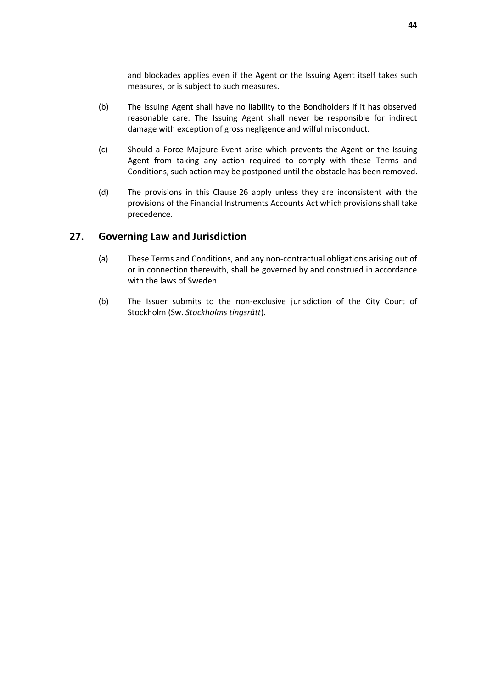and blockades applies even if the Agent or the Issuing Agent itself takes such measures, or is subject to such measures.

- (b) The Issuing Agent shall have no liability to the Bondholders if it has observed reasonable care. The Issuing Agent shall never be responsible for indirect damage with exception of gross negligence and wilful misconduct.
- (c) Should a Force Majeure Event arise which prevents the Agent or the Issuing Agent from taking any action required to comply with these Terms and Conditions, such action may be postponed until the obstacle has been removed.
- (d) The provisions in this Clause [26](#page-45-0) apply unless they are inconsistent with the provisions of the Financial Instruments Accounts Act which provisions shall take precedence.

### <span id="page-46-0"></span>**27. Governing Law and Jurisdiction**

- (a) These Terms and Conditions, and any non-contractual obligations arising out of or in connection therewith, shall be governed by and construed in accordance with the laws of Sweden.
- (b) The Issuer submits to the non-exclusive jurisdiction of the City Court of Stockholm (Sw. *Stockholms tingsrätt*).